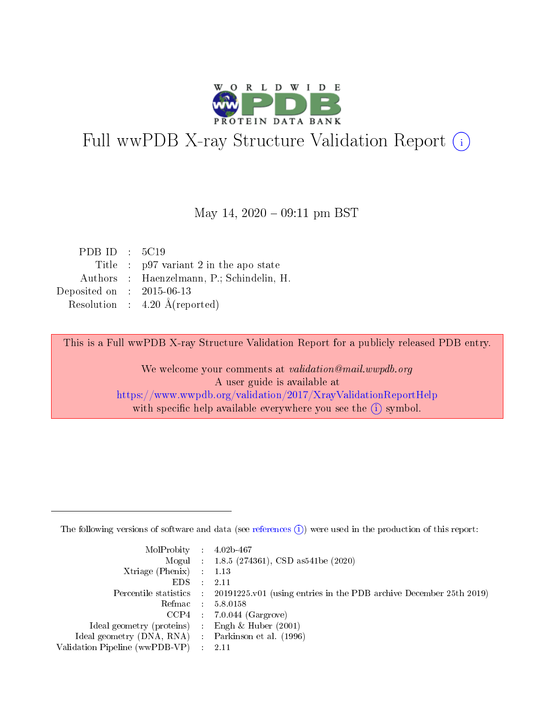

## Full wwPDB X-ray Structure Validation Report (i)

#### May 14,  $2020 - 09:11$  pm BST

| PDB ID : $5C19$             |                                           |
|-----------------------------|-------------------------------------------|
|                             | Title : $p97$ variant 2 in the apo state  |
|                             | Authors : Haenzelmann, P.; Schindelin, H. |
| Deposited on : $2015-06-13$ |                                           |
|                             | Resolution : $4.20 \text{ Å}$ (reported)  |

This is a Full wwPDB X-ray Structure Validation Report for a publicly released PDB entry.

We welcome your comments at validation@mail.wwpdb.org A user guide is available at <https://www.wwpdb.org/validation/2017/XrayValidationReportHelp> with specific help available everywhere you see the  $(i)$  symbol.

The following versions of software and data (see [references](https://www.wwpdb.org/validation/2017/XrayValidationReportHelp#references)  $(1)$ ) were used in the production of this report:

| $MolProbability$ : 4.02b-467                      |               |                                                                                            |
|---------------------------------------------------|---------------|--------------------------------------------------------------------------------------------|
|                                                   |               | Mogul : $1.8.5$ (274361), CSD as 541be (2020)                                              |
| Xtriage (Phenix) $: 1.13$                         |               |                                                                                            |
| EDS –                                             | $\mathcal{A}$ | -2.11                                                                                      |
|                                                   |               | Percentile statistics : 20191225.v01 (using entries in the PDB archive December 25th 2019) |
| Refmac : 5.8.0158                                 |               |                                                                                            |
|                                                   |               | $CCP4$ : 7.0.044 (Gargrove)                                                                |
| Ideal geometry (proteins) :                       |               | Engh $\&$ Huber (2001)                                                                     |
| Ideal geometry (DNA, RNA) Parkinson et al. (1996) |               |                                                                                            |
| Validation Pipeline (wwPDB-VP) : 2.11             |               |                                                                                            |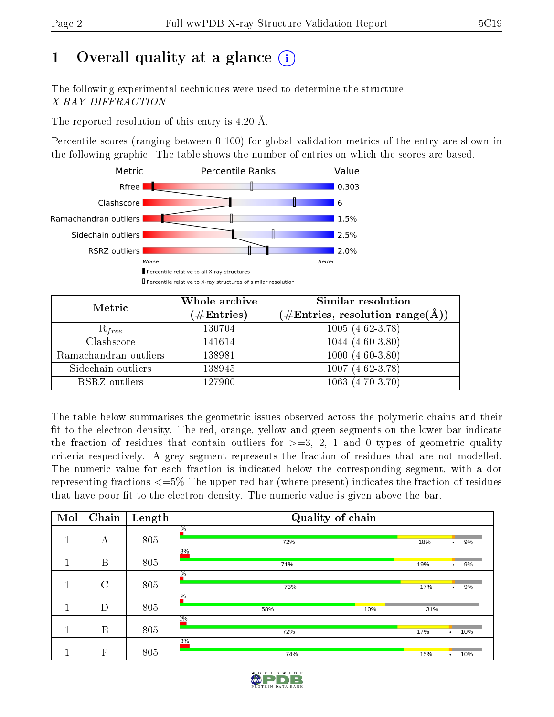## 1 [O](https://www.wwpdb.org/validation/2017/XrayValidationReportHelp#overall_quality)verall quality at a glance  $(i)$

The following experimental techniques were used to determine the structure: X-RAY DIFFRACTION

The reported resolution of this entry is 4.20 Å.

Percentile scores (ranging between 0-100) for global validation metrics of the entry are shown in the following graphic. The table shows the number of entries on which the scores are based.



| Metric                | Whole archive<br>$(\#\text{Entries})$ | Similar resolution<br>$(\#\text{Entries},\,\text{resolution}\,\,\text{range}(\textup{\AA}))$ |
|-----------------------|---------------------------------------|----------------------------------------------------------------------------------------------|
| $R_{free}$            | 130704                                | $1005(4.62-3.78)$                                                                            |
| Clashscore            | 141614                                | $1044(4.60-3.80)$                                                                            |
| Ramachandran outliers | 138981                                | $1000(4.60-3.80)$                                                                            |
| Sidechain outliers    | 138945                                | $1007(4.62-3.78)$                                                                            |
| RSRZ outliers         | 127900                                | $1063(4.70-3.70)$                                                                            |

The table below summarises the geometric issues observed across the polymeric chains and their fit to the electron density. The red, orange, yellow and green segments on the lower bar indicate the fraction of residues that contain outliers for  $>=3, 2, 1$  and 0 types of geometric quality criteria respectively. A grey segment represents the fraction of residues that are not modelled. The numeric value for each fraction is indicated below the corresponding segment, with a dot representing fractions  $\epsilon=5\%$  The upper red bar (where present) indicates the fraction of residues that have poor fit to the electron density. The numeric value is given above the bar.

| Mol | Chain         | Length | Quality of chain            |                         |  |  |  |
|-----|---------------|--------|-----------------------------|-------------------------|--|--|--|
|     | А             | 805    | $\frac{0}{6}$<br>72%        | 18%<br>9%<br>$\bullet$  |  |  |  |
|     | B             | 805    | 3%<br>71%                   | 19%<br>9%<br>$\bullet$  |  |  |  |
|     | $\mathcal{C}$ | 805    | $\frac{0}{6}$<br>73%        | 17%<br>9%<br>$\bullet$  |  |  |  |
|     | D             | 805    | $\frac{0}{6}$<br>10%<br>58% | 31%                     |  |  |  |
|     | E             | 805    | $2\%$<br>72%                | 17%<br>10%<br>$\bullet$ |  |  |  |
|     | F             | 805    | 3%<br>74%                   | 15%<br>10%<br>$\bullet$ |  |  |  |

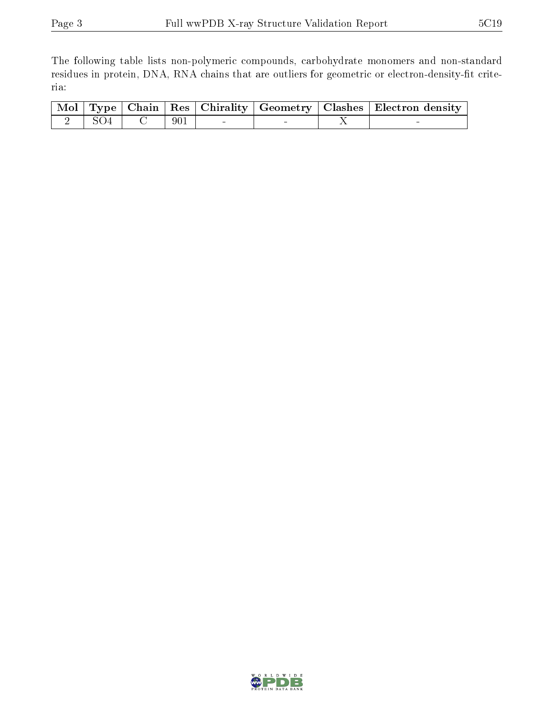The following table lists non-polymeric compounds, carbohydrate monomers and non-standard residues in protein, DNA, RNA chains that are outliers for geometric or electron-density-fit criteria:

|  |  |  | $\boxed{\text{Mol} \mid \text{Type}}$ Chain   Res   Chirality   Geometry   Clashes   Electron density |
|--|--|--|-------------------------------------------------------------------------------------------------------|
|  |  |  |                                                                                                       |

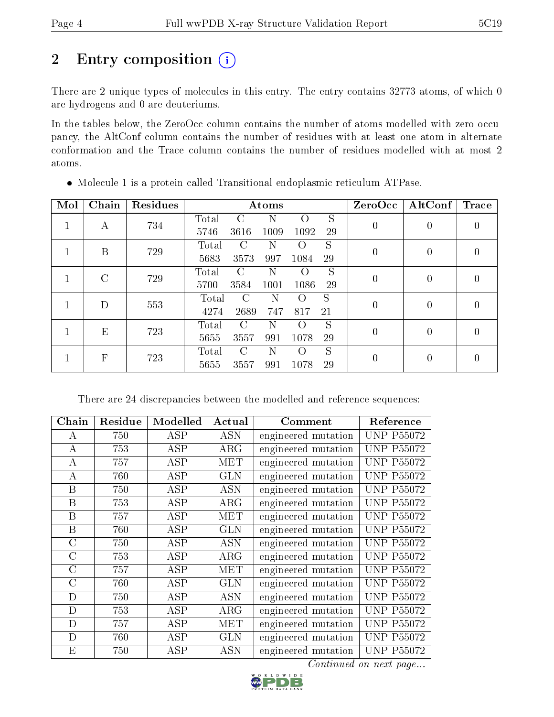## 2 Entry composition (i)

There are 2 unique types of molecules in this entry. The entry contains 32773 atoms, of which 0 are hydrogens and 0 are deuteriums.

In the tables below, the ZeroOcc column contains the number of atoms modelled with zero occupancy, the AltConf column contains the number of residues with at least one atom in alternate conformation and the Trace column contains the number of residues modelled with at most 2 atoms.

| Mol          | Chain | Residues | Atoms                                                |                  | ZeroOcc   AltConf | Trace |
|--------------|-------|----------|------------------------------------------------------|------------------|-------------------|-------|
| $\mathbf{I}$ | A     | 734      | S<br>Total<br>C<br>$\left( \right)$<br>N             | $\boldsymbol{0}$ | $\left( \right)$  |       |
|              |       |          | 1092<br>29<br>5746<br>3616<br>1009                   |                  |                   |       |
|              | B     | 729      | S<br>Total<br>C<br>$\left( \ \right)$                | $\overline{0}$   | 0                 |       |
|              |       |          | 5683<br>3573<br>997<br>1084<br>29                    |                  |                   |       |
|              | C     | 729      | S<br>Total<br>$\mathcal{C}$<br>N<br>$\left( \right)$ | 0                | 0                 |       |
|              |       |          | 3584<br>29<br>5700<br>1001<br>1086                   |                  |                   |       |
|              | D     | 553      | S<br>Total<br>C<br>N<br>$\left( \right)$             | $\boldsymbol{0}$ | 0                 |       |
| $\mathbf{L}$ |       |          | 2689<br>4274<br>817<br>747<br>21                     |                  |                   |       |
|              | E     | 723      | S<br>Ν<br>Total<br>C<br>$\left( \right)$             | $\theta$         | 0                 |       |
|              |       |          | 5655<br>3557<br>991<br>1078<br>29                    |                  |                   |       |
|              | F     | 723      | S<br>$\bigcap$<br>Total<br>N<br>$\left( \ \right)$   | 0                | 0                 |       |
|              |       |          | 5655<br>29<br>3557<br>991<br>1078                    |                  |                   |       |

Molecule 1 is a protein called Transitional endoplasmic reticulum ATPase.

There are 24 discrepancies between the modelled and reference sequences:

| Chain   | Residue | Modelled                | Actual     | Comment             | Reference         |
|---------|---------|-------------------------|------------|---------------------|-------------------|
| А       | 750     | <b>ASP</b>              | <b>ASN</b> | engineered mutation | <b>UNP P55072</b> |
| A       | 753     | ASP                     | $\rm{ARG}$ | engineered mutation | <b>UNP P55072</b> |
| А       | 757     | ASP                     | MET        | engineered mutation | <b>UNP P55072</b> |
| A       | 760     | ASP                     | <b>GLN</b> | engineered mutation | <b>UNP P55072</b> |
| B       | 750     | ASP                     | <b>ASN</b> | engineered mutation | <b>UNP P55072</b> |
| B       | 753     | ASP                     | ARG        | engineered mutation | <b>UNP P55072</b> |
| B       | 757     | ASP                     | MET        | engineered mutation | <b>UNP P55072</b> |
| B       | 760     | <b>ASP</b>              | <b>GLN</b> | engineered mutation | <b>UNP P55072</b> |
| $\rm C$ | 750     | <b>ASP</b>              | <b>ASN</b> | engineered mutation | <b>UNP P55072</b> |
| C       | 753     | <b>ASP</b>              | $\rm{ARG}$ | engineered mutation | <b>UNP P55072</b> |
| $\rm C$ | 757     | $\overline{\text{ASP}}$ | <b>MET</b> | engineered mutation | <b>UNP P55072</b> |
| $\rm C$ | 760     | <b>ASP</b>              | <b>GLN</b> | engineered mutation | <b>UNP P55072</b> |
| D       | 750     | ASP                     | <b>ASN</b> | engineered mutation | <b>UNP P55072</b> |
| D       | 753     | <b>ASP</b>              | $\rm{ARG}$ | engineered mutation | <b>UNP P55072</b> |
| D       | 757     | <b>ASP</b>              | <b>MET</b> | engineered mutation | <b>UNP P55072</b> |
| D       | 760     | ASP                     | <b>GLN</b> | engineered mutation | <b>UNP P55072</b> |
| E       | 750     | <b>ASP</b>              | <b>ASN</b> | engineered mutation | <b>UNP P55072</b> |

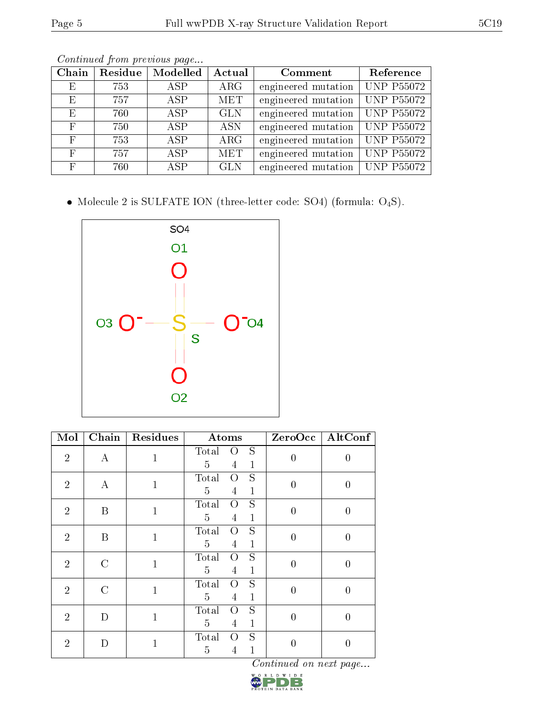|--|

| Chain      | Residue | Modelled     | Actual     | Comment             | Reference         |
|------------|---------|--------------|------------|---------------------|-------------------|
| Ε          | 753     | ASP          | $\rm{ARG}$ | engineered mutation | <b>UNP P55072</b> |
| Ε          | 757     | ASP          | <b>MET</b> | engineered mutation | <b>UNP P55072</b> |
| E          | 760     | <b>ASP</b>   | <b>GLN</b> | engineered mutation | <b>UNP P55072</b> |
| F          | 750     | $\angle$ ASP | <b>ASN</b> | engineered mutation | <b>UNP P55072</b> |
| $_{\rm F}$ | 753     | <b>ASP</b>   | $\rm{ARG}$ | engineered mutation | <b>UNP P55072</b> |
| $_{\rm F}$ | 757     | <b>ASP</b>   | <b>MET</b> | engineered mutation | <b>UNP P55072</b> |
| $_{\rm F}$ | 760     | ASP          | <b>GLN</b> | engineered mutation | <b>UNP P55072</b> |

 $\bullet$  Molecule 2 is SULFATE ION (three-letter code: SO4) (formula:  $\mathrm{O}_4\mathrm{S}) .$ 



| $\overline{\text{Mol}}$ | Chain            | Residues     | Atoms                                                                            |                  | $ZeroOcc$ $[AltConf]$ |
|-------------------------|------------------|--------------|----------------------------------------------------------------------------------|------------------|-----------------------|
| $\overline{2}$          | $\bf{A}$         | $\mathbf{1}$ | S<br>Total<br>O<br>$\overline{5}$<br>$\overline{4}$<br>$\mathbf{1}$              | $\overline{0}$   | 0                     |
| $\overline{2}$          | А                | $\mathbf{1}$ | S<br>Total<br>$\overline{O}$<br>$\overline{5}$<br>$\mathbf{1}$<br>4              | $\overline{0}$   | $\overline{0}$        |
| $\overline{2}$          | B                | $\mathbf{1}$ | $\overline{S}$<br>Total<br>$\overline{O}$<br>5<br>$\mathbf{1}$<br>$\overline{4}$ | $\overline{0}$   | $\theta$              |
| $\overline{2}$          | $\boldsymbol{B}$ | $\mathbf{1}$ | S<br>Total<br>$\overline{O}$<br>$\mathbf{1}$<br>5<br>$\overline{4}$              | $\overline{0}$   | 0                     |
| $\overline{2}$          | $\mathcal{C}$    | $\mathbf{1}$ | S<br>Total<br>$\overline{O}$<br>$\overline{5}$<br>$\mathbf{1}$<br>4              | $\overline{0}$   | 0                     |
| $\overline{2}$          | $\mathcal{C}$    | $\mathbf{1}$ | S<br>Total<br>$\overline{O}$<br>$\mathbf{1}$<br>5<br>$\overline{4}$              | $\overline{0}$   | $\theta$              |
| $\overline{2}$          | D                | $\mathbf{1}$ | S<br>Total<br>$\overline{O}$<br>$\mathbf{1}$<br>5<br>4                           | $\boldsymbol{0}$ | 0                     |
| $\overline{2}$          | D                | 1            | S<br>Total<br>O<br>$\mathbf{1}$<br>$\overline{5}$<br>4                           | $\theta$         | 0                     |

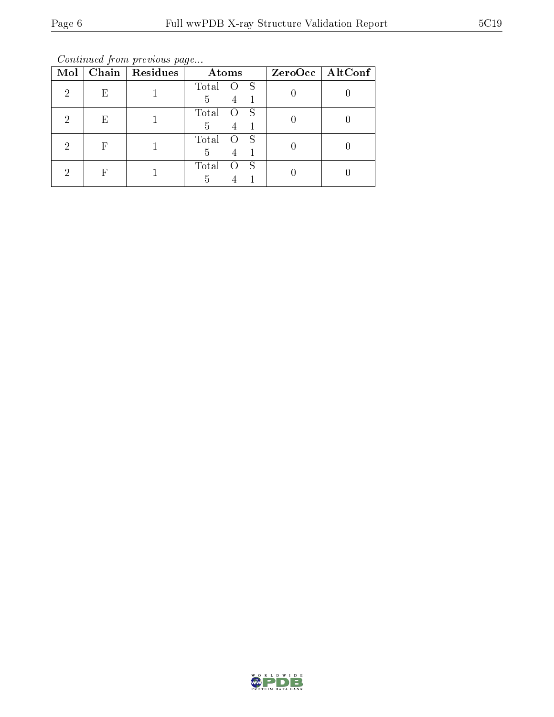Continued from previous page...

| Mol |   | Chain   Residues | Atoms           | $ZeroOcc \mid AltConf \mid$ |
|-----|---|------------------|-----------------|-----------------------------|
| 2   | Ε |                  | Total<br>S<br>5 |                             |
| 2   | Ε |                  | Total<br>S<br>5 |                             |
| 2   | F |                  | Total<br>S<br>5 |                             |
| 2   | F |                  | Total<br>S<br>5 |                             |

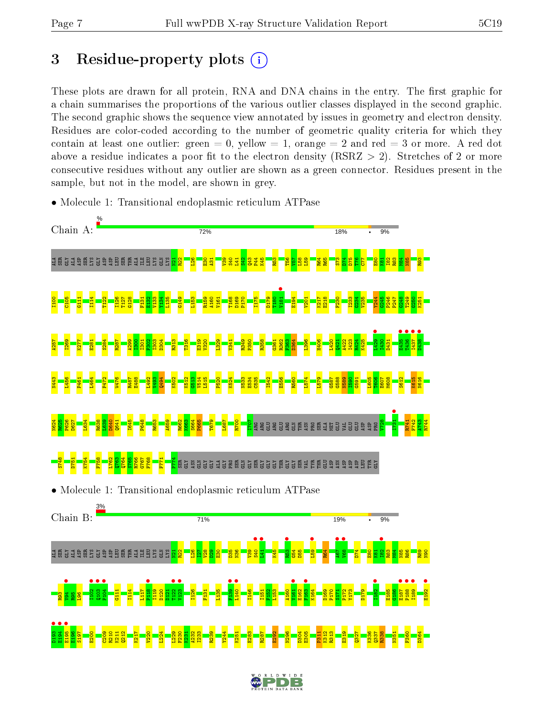## 3 Residue-property plots  $(i)$

These plots are drawn for all protein, RNA and DNA chains in the entry. The first graphic for a chain summarises the proportions of the various outlier classes displayed in the second graphic. The second graphic shows the sequence view annotated by issues in geometry and electron density. Residues are color-coded according to the number of geometric quality criteria for which they contain at least one outlier: green  $= 0$ , yellow  $= 1$ , orange  $= 2$  and red  $= 3$  or more. A red dot above a residue indicates a poor fit to the electron density (RSRZ  $> 2$ ). Stretches of 2 or more consecutive residues without any outlier are shown as a green connector. Residues present in the sample, but not in the model, are shown in grey.



• Molecule 1: Transitional endoplasmic reticulum ATPase

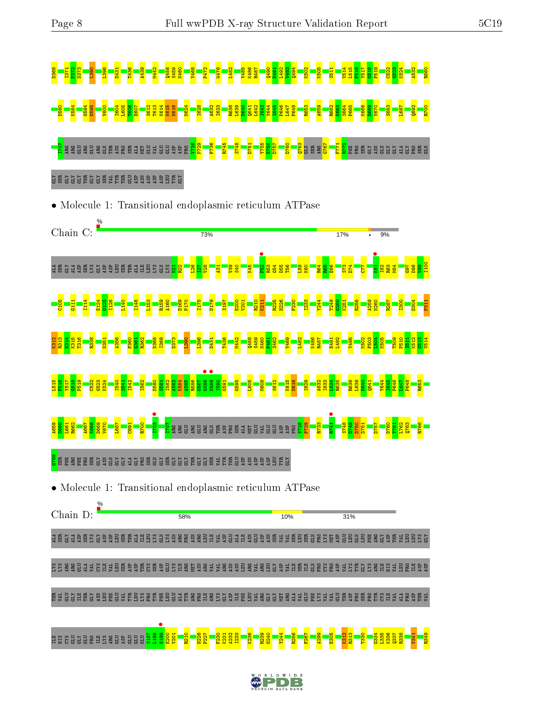| $\frac{48}{2}$                                                                                                                                                                                                                                                                                                 |
|----------------------------------------------------------------------------------------------------------------------------------------------------------------------------------------------------------------------------------------------------------------------------------------------------------------|
| reta<br>Keta<br>Keta<br>1616<br>3612<br>$\frac{606}{50}$<br>$\frac{100}{2}$                                                                                                                                                                                                                                    |
| <mark>ទ</mark> ្ធិ ខ្លួន <mark>ខ្លួ</mark><br>មិនមិន្ទ្ធី និងម <mark>ិន្ទ្</mark><br>មិនមិន្ទ្ធី និងមិ <mark>ន</mark> ្ទ្រី<br>l <mark>s 2명</mark><br><mark>영업</mark><br><mark>역전</mark><br>D760<br><mark>្អី ន</mark> ិង និង្គី ទី ទី ទី ទី ទី<br><b>ESERE</b><br><b>S</b> S S S S S S S<br>ξÑ<br>뎔<br>ష<br>Ě |
| <b>TYR</b><br><b>EUUS</b><br>ម្ពុជ<br>VAL<br>E<br><b>SP</b><br>5P<br>TTR<br>GLY<br><b>CLY</b><br><b>GLU</b><br>4SP<br>필<br>ធ្<br>흄                                                                                                                                                                             |
| $\bullet$ Molecule 1: Transitional endoplasmic reticulum ATPase                                                                                                                                                                                                                                                |
| $\frac{9}{6}$<br>Chain C:<br>17%<br>73%<br>9%                                                                                                                                                                                                                                                                  |
| <b>BSSS</b><br>A <sub>L</sub> A<br>ឌីអ៊ូ<br>5x <sub>1</sub><br>š<br>国<br>圉<br>ਥ<br>ğ<br>鸟<br>臣<br>S<br>Ę<br>资<br>긥<br>횺<br>ğ<br>ğ<br>$\mathbf{p}$<br>ā<br>힎                                                                                                                                                    |
| D169                                                                                                                                                                                                                                                                                                           |
|                                                                                                                                                                                                                                                                                                                |
| 3586<br>585<br><b>G588</b><br>590<br>$\overline{8}$                                                                                                                                                                                                                                                            |
| <b>GD</b><br><b>PRO</b><br>52                                                                                                                                                                                                                                                                                  |
| ASN<br>က် ပြ<br><b>A G A M G G A G G G H G G M &gt; H H G</b>                                                                                                                                                                                                                                                  |
| • Molecule 1: Transitional endoplasmic reticulum ATPase                                                                                                                                                                                                                                                        |
| %<br>Chain D:<br>58%<br>10%<br>31%                                                                                                                                                                                                                                                                             |
| <b>크 턽을 크 흉 텉 딣 을 훔 함 질 텉 털 딬 티 팀 딣 을 딣 혈 롱 털 롱 릴 팁 티 크 함</b><br>\$3838233653833                                                                                                                                                                                                                               |
| <b>ENRESQ</b><br>$\tilde{H}$<br>頁                                                                                                                                                                                                                                                                              |
| <b>RESER</b><br>臣<br><b>ABSH</b><br><b>QQQQQQQQQQQQQQQQQ</b> QQ<br>日目<br>មិក្ន<br><b>TYRG</b><br>SX<br>SEE<br>SEE<br>븹<br>퇹<br>医鼠<br><b>Rd</b><br>CYS<br>븝<br><b>RC</b><br>CLY<br>뵶<br>편<br>ARC<br>$\Xi$<br>ξř<br>경로<br>ESP<br>Σ<br>E.<br>5P<br>G<br>뵞<br>Ξ<br>$\overline{5}$<br>금                             |
| <b>S197</b><br>L198<br>L199<br>336<br><mark>laga</mark><br><mark>cass</mark><br><b>BEBEER</b><br><b>RHS</b><br>$\overline{23}$<br><u>88</u><br>띕<br>E 23<br>CH<br>R <sub>21</sub><br>$\frac{23}{2}$<br>믡                                                                                                       |
| W<br>D<br>D                                                                                                                                                                                                                                                                                                    |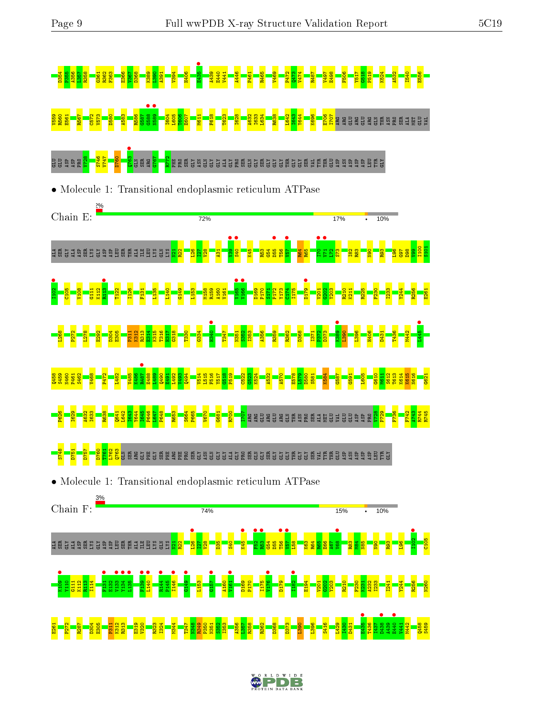

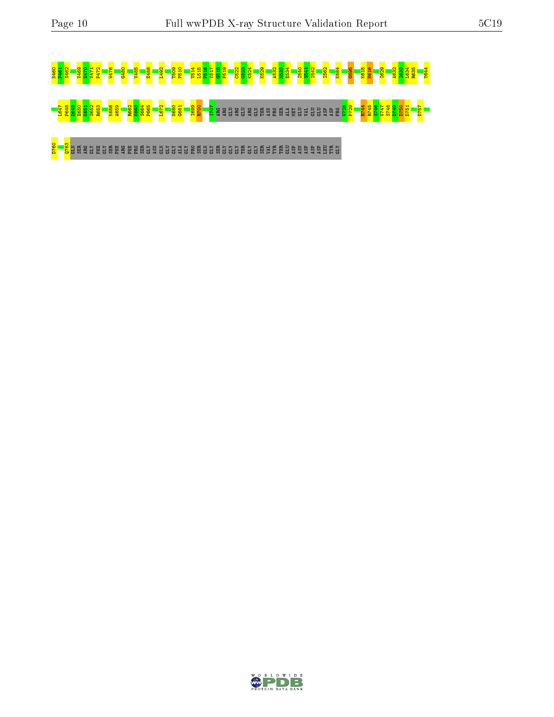# N460 P461 S462 V469 E470 V471 P472 W476 G480 V485 E488 L492 T509 P510 V514 L515 F516 Y517 G518 P519 C522 G523 K524 K529 A532 N533 E534 I540 S541 I542 I562 K584 G595 K615 N616 I629 A632 I633 L634 R635 Y644 L647 P648 D649 E650 K651 S652 R653 K658 A659 R662 K663 S664 P665 L672 N680 G681 I699 R700 I707 ARG ARG GLU ARG GLU ARG GLN THR ASN PRO SER ALA MET GLU VAL GLU GLU ASP ASP PRO V728 P729 R744 R745 S746 V747 S748 D749 D750 D751 D757

D760 Q763 GLN SER ARG GLY PHE GLY SER PHE ARG PHE PRO SER GLY ASN GLN GLY GLY ALA GLY PRO SER GLN GLY SER GLY GLY GLY THR GLY GLY SER VAL TYR THR GLU ASP ASN ASP ASP ASP LEU TYR GLY

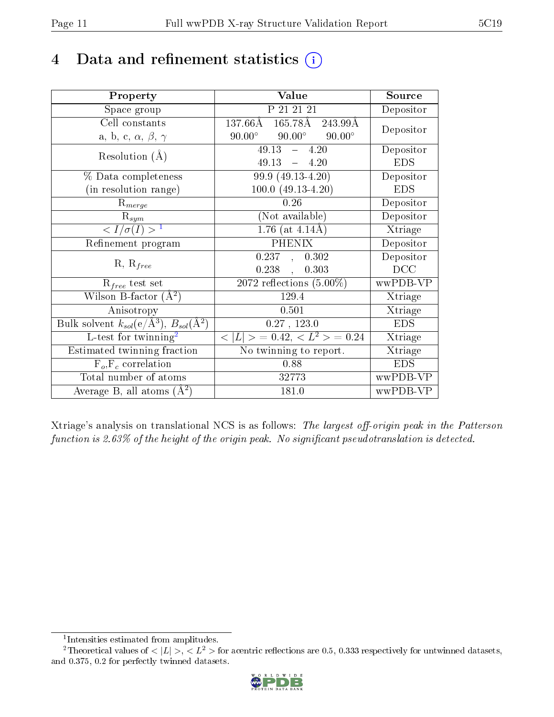## 4 Data and refinement statistics  $(i)$

| Property                                                         | Value                                            | Source                       |
|------------------------------------------------------------------|--------------------------------------------------|------------------------------|
| Space group                                                      | P 21 21 21                                       | Depositor                    |
| Cell constants                                                   | $165.78\text{\AA}$<br>$137.66\rm \AA$<br>243.99Å | Depositor                    |
| a, b, c, $\alpha$ , $\beta$ , $\gamma$                           | $90.00^\circ$<br>$90.00^\circ$<br>$90.00^\circ$  |                              |
| Resolution $(A)$                                                 | $49.13 - 4.20$                                   | Depositor                    |
|                                                                  | $49.13 = 4.20$                                   | <b>EDS</b>                   |
| % Data completeness                                              | 99.9 (49.13-4.20)                                | Depositor                    |
| (in resolution range)                                            | $100.0 (49.13 - 4.20)$                           | <b>EDS</b>                   |
| $R_{merge}$                                                      | 0.26                                             | Depositor                    |
| $\mathrm{R}_{sym}$                                               | (Not available)                                  | Depositor                    |
| $\langle I/\sigma(I) \rangle^{-1}$                               | $1.76$ (at $4.14$ Å)                             | $\overline{\text{X}}$ triage |
| Refinement program                                               | <b>PHENIX</b>                                    | Depositor                    |
| $R, R_{free}$                                                    | $0.237$ , $0.302$                                | Depositor                    |
|                                                                  | 0.238,<br>0.303                                  | DCC                          |
| $R_{free}$ test set                                              | $\overline{2072}$ reflections $(5.00\%)$         | wwPDB-VP                     |
| Wilson B-factor $(A^2)$                                          | 129.4                                            | Xtriage                      |
| Anisotropy                                                       | 0.501                                            | Xtriage                      |
| Bulk solvent $k_{sol}(\text{e}/\text{A}^3), B_{sol}(\text{A}^2)$ | 0.27, 123.0                                      | <b>EDS</b>                   |
| L-test for twinning <sup>2</sup>                                 | $< L >$ = 0.42, $< L^2 >$ = 0.24                 | Xtriage                      |
| Estimated twinning fraction                                      | No twinning to report.                           | Xtriage                      |
| $\overline{F_o}, \overline{F_c}$ correlation                     | 0.88                                             | <b>EDS</b>                   |
| Total number of atoms                                            | 32773                                            | wwPDB-VP                     |
| Average B, all atoms $(A^2)$                                     | 181.0                                            | wwPDB-VP                     |

Xtriage's analysis on translational NCS is as follows: The largest off-origin peak in the Patterson function is 2.63% of the height of the origin peak. No significant pseudotranslation is detected.

<sup>&</sup>lt;sup>2</sup>Theoretical values of  $\langle |L| \rangle$ ,  $\langle L^2 \rangle$  for acentric reflections are 0.5, 0.333 respectively for untwinned datasets, and 0.375, 0.2 for perfectly twinned datasets.



<span id="page-10-1"></span><span id="page-10-0"></span><sup>1</sup> Intensities estimated from amplitudes.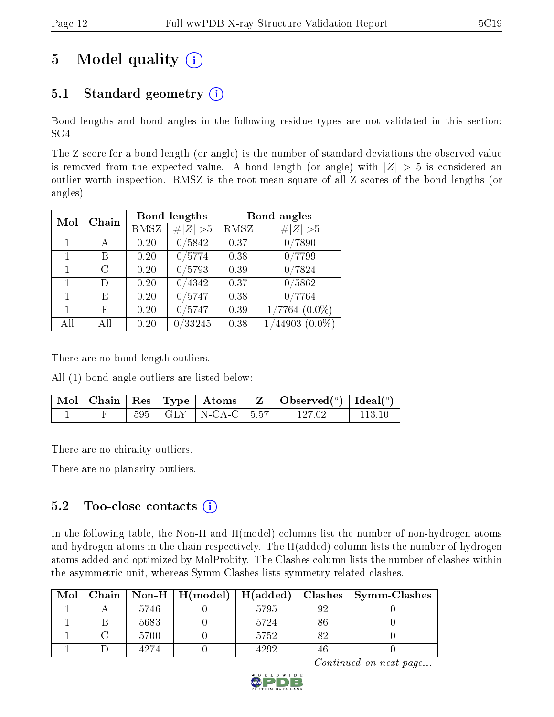## 5 Model quality  $(i)$

## 5.1 Standard geometry  $(i)$

Bond lengths and bond angles in the following residue types are not validated in this section: SO4

The Z score for a bond length (or angle) is the number of standard deviations the observed value is removed from the expected value. A bond length (or angle) with  $|Z| > 5$  is considered an outlier worth inspection. RMSZ is the root-mean-square of all Z scores of the bond lengths (or angles).

| Chain<br>Mol |     | <b>Bond lengths</b> |             | Bond angles |                    |
|--------------|-----|---------------------|-------------|-------------|--------------------|
|              |     | <b>RMSZ</b>         | # $ Z  > 5$ | RMSZ        | # $ Z  > 5$        |
| $\mathbf{1}$ | А   | 0.20                | 0/5842      | 0.37        | 0/7890             |
| 1            | Β   | 0.20                | 0/5774      | 0.38        | 0/7799             |
| 1            | C   | 0.20                | 0/5793      | 0.39        | 0/7824             |
| 1            | D   | 0.20                | 0/4342      | 0.37        | 0/5862             |
| $\mathbf{1}$ | Ε   | 0.20                | 0/5747      | 0.38        | 0/7764             |
| 1            | F   | 0.20                | 0/5747      | 0.39        | $'7764(0.0\%)$     |
| All          | All | 0.20                | /33245      | 0.38        | 44903<br>$(0.0\%)$ |

There are no bond length outliers.

All (1) bond angle outliers are listed below:

|  |  |                           | $\mid$ Mol $\mid$ Chain $\mid$ Res $\mid$ Type $\mid$ Atoms $\mid$ Z $\mid$ Observed( $^o$ ) $\mid$ Ideal( $^o$ ) $\mid$ |        |
|--|--|---------------------------|--------------------------------------------------------------------------------------------------------------------------|--------|
|  |  | $595$ GLY   N-CA-C   5.57 | 127.02                                                                                                                   | 113 10 |

There are no chirality outliers.

There are no planarity outliers.

#### 5.2 Too-close contacts (i)

In the following table, the Non-H and H(model) columns list the number of non-hydrogen atoms and hydrogen atoms in the chain respectively. The H(added) column lists the number of hydrogen atoms added and optimized by MolProbity. The Clashes column lists the number of clashes within the asymmetric unit, whereas Symm-Clashes lists symmetry related clashes.

| Mol |      |      |    | Chain   Non-H   H(model)   H(added)   Clashes   Symm-Clashes |
|-----|------|------|----|--------------------------------------------------------------|
|     | 5746 | 5795 | ۵۶ |                                                              |
|     | 5683 | 5724 | 86 |                                                              |
|     | 5700 | 5752 | 82 |                                                              |
|     | 4274 | 4999 |    |                                                              |

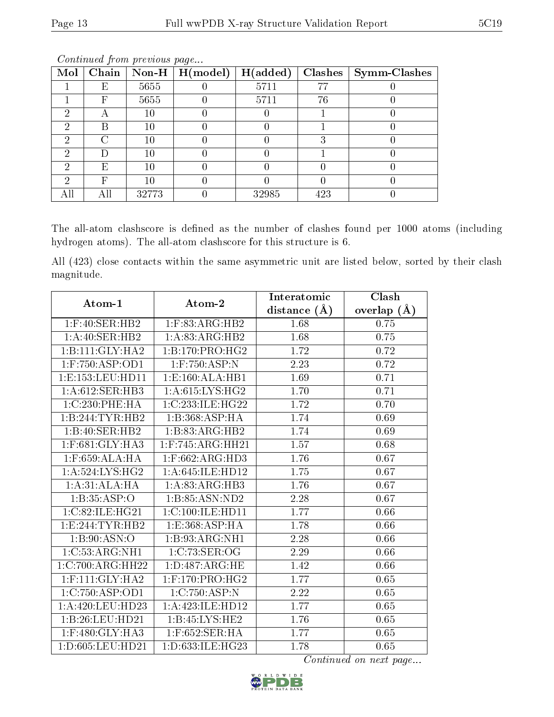| Mol | Chain | $\mid$ Non-H | H (model) | H(added) | Clashes | Symm-Clashes |
|-----|-------|--------------|-----------|----------|---------|--------------|
|     | Ε     | 5655         |           | 5711     | 77      |              |
|     | F     | 5655         |           | 5711     | 76      |              |
|     |       | $10\,$       |           |          |         |              |
|     | В     | $10\,$       |           |          |         |              |
| ົ   |       | $10\,$       |           |          | २       |              |
|     |       | $10\,$       |           |          |         |              |
|     | E     | $10\,$       |           |          |         |              |
|     | F     | $10\,$       |           |          |         |              |
|     |       | 32773        |           | 32985    | 423     |              |

The all-atom clashscore is defined as the number of clashes found per 1000 atoms (including hydrogen atoms). The all-atom clashscore for this structure is 6.

All (423) close contacts within the same asymmetric unit are listed below, sorted by their clash magnitude.

| Atom-1              | Atom-2               | Interatomic      | Clash         |
|---------------------|----------------------|------------------|---------------|
|                     |                      | distance $(\AA)$ | overlap $(A)$ |
| $1:$ F:40:SER:HB2   | $1:$ F:83:ARG:HB2    | 1.68             | 0.75          |
| 1:A:40:SER:HB2      | 1:A:83:ARG:HB2       | 1.68             | 0.75          |
| 1:B:111:GLY:HA2     | 1:B:170:PRO:HG2      | 1.72             | 0.72          |
| $1:$ F:750:ASP:OD1  | $1:$ F:750:ASP:N     | 2.23             | 0.72          |
| 1:E:153:LEU:HD11    | 1:E:160:ALA:HB1      | 1.69             | 0.71          |
| 1:A:612:SER:HB3     | 1: A:615: LYS: HG2   | 1.70             | 0.71          |
| 1:C:230:PHE:HA      | 1:C:233:ILE:HG22     | 1.72             | 0.70          |
| 1:B:244:TYR:HB2     | 1:B:368:ASP:HA       | 1.74             | 0.69          |
| 1:B:40:SER:HB2      | 1:B:83:ARG:HB2       | 1.74             | 0.69          |
| 1:F:681:GLY:HA3     | $1:$ F:745:ARG:HH21  | 1.57             | 0.68          |
| $1:$ F:659:ALA:HA   | $1:$ F:662:ARG:HD3   | 1.76             | 0.67          |
| 1: A:524: LYS: HG2  | 1: A:645: ILE: HD12  | 1.75             | 0.67          |
| 1:A:31:ALA:HA       | 1:A:83:ARG:HB3       | 1.76             | 0.67          |
| 1:B:35:ASP:O        | 1:B:85:ASN:ND2       | 2.28             | 0.67          |
| 1:C:82:ILE:HG21     | 1:C:100:ILE:HD11     | 1.77             | 0.66          |
| 1: E: 244: TYR: HB2 | 1:E:368:ASP:HA       | 1.78             | 0.66          |
| 1:B:90:ASN:O        | 1:B:93:ARG:NH1       | $2.28\,$         | 0.66          |
| 1:C:53:ARG:NH1      | 1:C:73:SER:OG        | 2.29             | 0.66          |
| 1:C:700:ARG:HH22    | 1: D:487: ARG: HE    | 1.42             | 0.66          |
| $1:$ F:111:GLY:HA2  | $1:$ F:170:PRO:HG2   | 1.77             | 0.65          |
| 1:C:750:ASP:OD1     | 1:C:750:ASP:N        | 2.22             | 0.65          |
| 1:A:420:LEU:HD23    | 1:A:423:ILE:HD12     | 1.77             | 0.65          |
| 1:B:26:LEU:HD21     | 1:B:45:LYS:HE2       | 1.76             | 0.65          |
| $1:$ F:480:GLY:HA3  | $1:$ F:652:SER:HA    | 1.77             | 0.65          |
| 1:D:605:LEU:HD21    | 1: D: 633: ILE: HG23 | 1.78             | 0.65          |

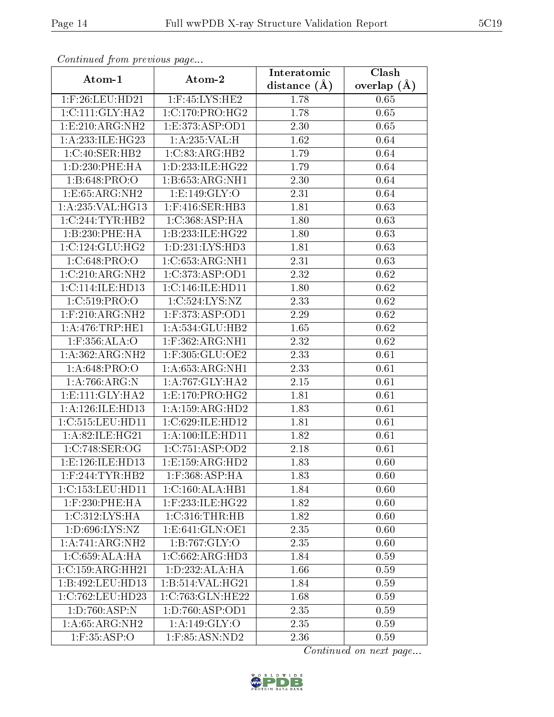| Commaca jibin previous page |                      | Interatomic    | Clash         |
|-----------------------------|----------------------|----------------|---------------|
| Atom-1                      | Atom-2               | distance $(A)$ | overlap $(A)$ |
| $1:$ F:26:LEU:HD21          | $1:$ F:45:LYS:HE2    | 1.78           | 0.65          |
| 1:C:111:GLY:HA2             | 1:C:170:PRO:HG2      | 1.78           | 0.65          |
| 1: E:210: ARG: NH2          | 1: E: 373: ASP: OD1  | 2.30           | 0.65          |
| 1: A:233: ILE: HG23         | 1:A:235:VAL:H        | 1.62           | 0.64          |
| 1:C:40:SER:HB2              | 1:C:83:ARG:HB2       | 1.79           | 0.64          |
| 1: D: 230: PHE: HA          | 1: D: 233: ILE: HG22 | 1.79           | 0.64          |
| 1: B:648: PRO:O             | 1:B:653:ARG:NH1      | 2.30           | 0.64          |
| 1: E: 65: ARG: NH2          | 1: E: 149: GLY: O    | 2.31           | 0.64          |
| 1:A:235:VAL:HG13            | $1:$ F:416:SER:HB3   | 1.81           | 0.63          |
| 1:C:244:TYR:HB2             | 1:C:368:ASP:HA       | 1.80           | 0.63          |
| 1:B:230:PHE:HA              | 1:B:233:ILE:HG22     | 1.80           | 0.63          |
| 1:C:124:CLU:HG2             | 1: D: 231: LYS: HD3  | 1.81           | 0.63          |
| 1:C:648:PRO:O               | 1:C:653:ARG:NH1      | 2.31           | 0.63          |
| 1:C:210:ARG:NH2             | 1:C:373:ASP:OD1      | 2.32           | 0.62          |
| 1: C: 114: ILE: HD13        | 1:C:146:ILE:HD11     | 1.80           | 0.62          |
| 1:C:519:PRO:O               | 1:C:524:LYS:NZ       | 2.33           | 0.62          |
| $1:$ F:210:ARG:NH2          | $1:$ F:373:ASP:OD1   | 2.29           | 0.62          |
| 1: A:476:TRP:HE1            | 1:A:534:GLU:HB2      | 1.65           | 0.62          |
| 1:F:356:ALA:O               | $1:$ F:362:ARG:NH1   | 2.32           | 0.62          |
| 1:A:362:ARG:NH2             | $1:$ F:305:GLU:OE2   | 2.33           | 0.61          |
| 1:A:648:PRO:O               | 1: A:653:ARG:NH1     | 2.33           | 0.61          |
| 1: A:766:ARG:N              | 1: A:767: GLY:HA2    | 2.15           | 0.61          |
| 1: E: 111: GLY: HA2         | 1: E: 170: PRO:HG2   | 1.81           | 0.61          |
| 1:A:126:ILE:HD13            | 1:A:159:ARG:HD2      | 1.83           | 0.61          |
| 1:C:515:LEU:HD11            | 1:C:629:ILE:HD12     | 1.81           | 0.61          |
| 1:A:82:ILE:HG21             | 1: A:100: ILE: HD11  | 1.82           | 0.61          |
| 1:C:748:SER:OG              | 1:C:751:ASP:OD2      | 2.18           | 0.61          |
| 1: E: 126: ILE: HD13        | 1:E:159:ARG:HD2      | 1.83           | 0.60          |
| $1:$ F:244:TYR:HB2          | $1:$ F:368:ASP:HA    | 1.83           | 0.60          |
| 1:C:153:LEU:HDI1            | 1:C:160:ALA:HB1      | 1.84           | 0.60          |
| $1:$ F:230:PHE:HA           | 1:F:233:ILE:HG22     | 1.82           | 0.60          |
| 1:C:312:LYS:HA              | 1:C:316:THR:HB       | 1.82           | 0.60          |
| 1:D:696:LYS:NZ              | 1: E: 641: GLN: OE1  | 2.35           | 0.60          |
| 1:A:741:ARG:NH2             | 1:B:767:GLY:O        | 2.35           | 0.60          |
| 1:C:659:ALA:HA              | 1:C:662:ARG:HD3      | 1.84           | 0.59          |
| 1:C:159:ARG:HH21            | 1: D: 232: ALA: HA   | 1.66           | 0.59          |
| 1:B:492:LEU:HD13            | 1:B:514:VAL:HG21     | 1.84           | 0.59          |
| 1:C:762:LEU:HD23            | 1:C:763:GLN:HE22     | 1.68           | 0.59          |
| 1:D:760:ASP:N               | 1: D: 760: ASP: OD1  | 2.35           | 0.59          |
| 1:A:65:ARG:NH2              | 1:A:149:GLY:O        | 2.35           | 0.59          |
| $1:$ F:35:ASP:O             | 1:F:85:ASN:ND2       | 2.36           | 0.59          |

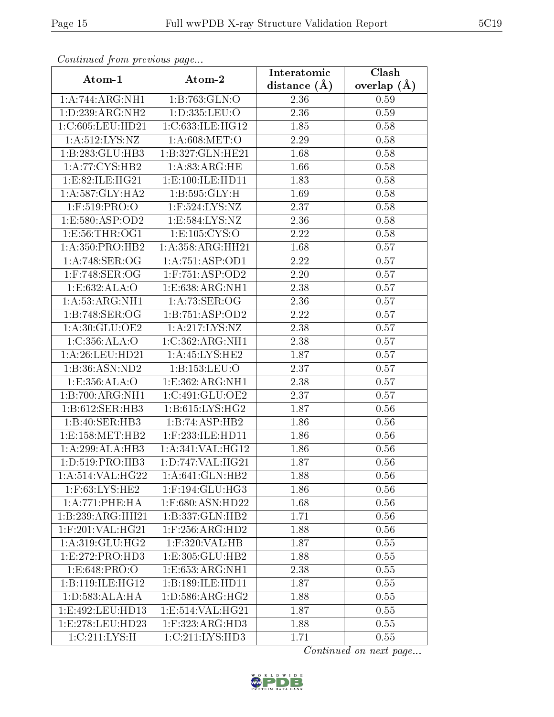| сонинией јтот ртеvиоиз раде |                                         | Interatomic    | Clash         |
|-----------------------------|-----------------------------------------|----------------|---------------|
| Atom-1                      | Atom-2                                  | distance $(A)$ | overlap $(A)$ |
| 1:A:744:ARG:NH1             | 1:B:763:GLN:O                           | 2.36           | 0.59          |
| 1:D:239:ARG:NH2             | 1:D:335:LEU:O                           | 2.36           | 0.59          |
| 1:C:605:LEU:HD21            | 1:C:633:ILE:HG12                        | 1.85           | 0.58          |
| 1: A: 512: LYS: NZ          | 1: A:608:MET:O                          | 2.29           | 0.58          |
| 1:B:283:GLU:HB3             | 1:B:327:GLN:HE21                        | 1.68           | 0.58          |
| 1:A:77:CYS:HB2              | 1: A:83:ARG:HE                          | 1.66           | 0.58          |
| 1: E:82: ILE: HG21          | 1:E:100:ILE:HD11                        | 1.83           | 0.58          |
| 1:A:587:GLY:HA2             | 1: B: 595: GLY: H                       | 1.69           | 0.58          |
| $1:$ F:519:PRO:O            | $1:$ F:524:LYS:NZ                       | 2.37           | 0.58          |
| 1:E:580:ASP:OD2             | 1:E:584:LYS:NZ                          | 2.36           | 0.58          |
| 1: E:56: THR:OG1            | 1: E: 105: CYS:O                        | 2.22           | 0.58          |
| 1:A:350:PRO:HB2             | 1:A:358:ARG:HH21                        | 1.68           | 0.57          |
| 1:A:748:SER:OG              | 1:A:751:ASP:OD1                         | 2.22           | 0.57          |
| $1:$ F:748:SER:OG           | $1:$ F:751:ASP:OD2                      | 2.20           | 0.57          |
| 1:E:632:ALA:O               | 1:E:638:ARG:NH1                         | 2.38           | 0.57          |
| 1: A:53:ARG:NH1             | 1: A:73: SER:OG                         | 2.36           | 0.57          |
| 1:B:748:SER:OG              | 1:B:751:ASP:OD2                         | 2.22           | 0.57          |
| 1: A:30: GLU:OE2            | 1: A:217: LYS: NZ                       | 2.38           | 0.57          |
| 1: C: 356: ALA:O            | 1:C:362:ARG:NH1                         | 2.38           | 0.57          |
| 1: A:26:LEU:HD21            | 1: A:45:LYS:HE2                         | 1.87           | 0.57          |
| 1:B:36:ASN:ND2              | 1:B:153:LEU:O                           | 2.37           | 0.57          |
| 1:E:356:ALA:O               | 1:E:362:ARG:NH1                         | 2.38           | 0.57          |
| 1:B:700:ARG:NH1             | 1:C:491:GLU:OE2                         | 2.37           | 0.57          |
| 1:B:612:SER:HB3             | 1: B:615: LYS: HG2                      | 1.87           | 0.56          |
| 1:B:40:SER:HB3              | 1:B:74:ASP:HB2                          | 1.86           | 0.56          |
| 1: E: 158: MET: HB2         | $1:$ F:233:ILE:HD11                     | 1.86           | 0.56          |
| 1:A:299:ALA:HB3             | 1:A:341:VAL:HG12                        | 1.86           | 0.56          |
| 1: D: 519: PRO: HB3         | 1:D:747:VAL:HG21                        | 1.87           | 0.56          |
| 1:A:514:VAL:HG22            | 1:A:641:GLN:HB2                         | 1.88           | 0.56          |
| $1:$ F:63:LYS:HE2           | $1:$ F:194:GLU:HG3                      | 1.86           | 0.56          |
| 1:A:771:PHE:HA              | $1:$ F:680:ASN:HD22                     | 1.68           | 0.56          |
| 1:B:239:ARG:HH21            | 1:B:337:GLN:HB2                         | 1.71           | 0.56          |
| $1:$ F:201:VAL:HG21         | $1:$ F:256:ARG:H $\overline{D2}$        | 1.88           | 0.56          |
| 1: A:319: GLU: HG2          | $1:$ F:320:VAL:HB                       | 1.87           | 0.55          |
| 1:E:272:PRO:HD3             | 1:E:305:GLU:HB2                         | 1.88           | 0.55          |
| 1:E:648:PRO:O               | $1: E: 653: \overline{ARG:N}H1$         | 2.38           | 0.55          |
| 1:B:119:ILE:HG12            | 1:B:189:ILE:HD11                        | 1.87           | 0.55          |
| 1:D:583:ALA:HA              | 1: D: 586: ARG: HG2                     | 1.88           | 0.55          |
| 1: E:492: LEU: HD13         | 1: E: 514: VAL: HG21                    | 1.87           | 0.55          |
| 1:E:278:LEU:HD23            | $1:$ F:323:AR $\overline{\text{G:HD3}}$ | 1.88           | 0.55          |
| 1:C:211:LYS:H               | $1:C:211:LYS:H\overline{D3}$            | 1.71           | 0.55          |

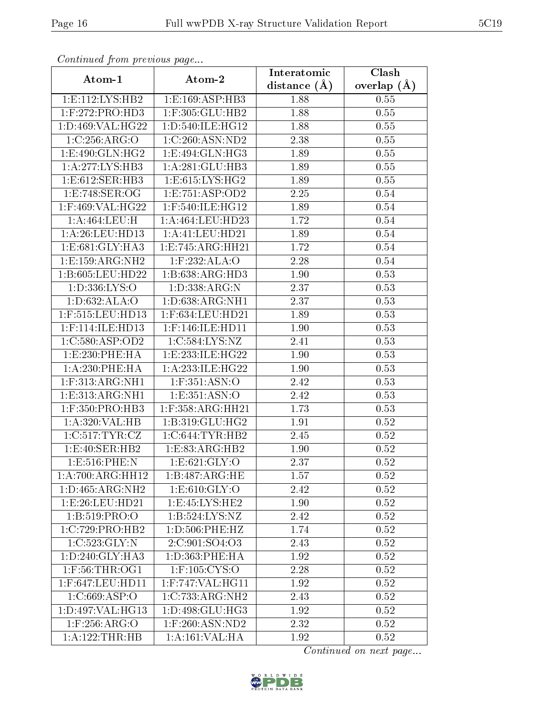| Commuca from previous page            |                                       | Interatomic    | Clash           |
|---------------------------------------|---------------------------------------|----------------|-----------------|
| Atom-1                                | Atom-2                                | distance $(A)$ | overlap $(\AA)$ |
| 1: E: 112: LYS: HB2                   | 1:E:169:ASP:HB3                       | 1.88           | 0.55            |
| 1:F:272:PRO:HD3                       | 1:F:305:GLU:HB2                       | 1.88           | 0.55            |
| 1:D:469:VAL:HG22                      | 1:D:540:ILE:HG12                      | 1.88           | 0.55            |
| 1:C:256:ARG:O                         | 1:C:260:ASN:ND2                       | 2.38           | 0.55            |
| 1:E:490:GLN:HG2                       | 1: E: 494: GLN: HG3                   | 1.89           | 0.55            |
| 1:A:277:LYS:HB3                       | 1: A:281: GLU:HB3                     | 1.89           | 0.55            |
| $1: E:612: \overline{\text{SER:HB3}}$ | 1: E: 615: LYS: HG2                   | 1.89           | 0.55            |
| 1:E:748:SER:OG                        | 1: E: 751: ASP: OD2                   | 2.25           | 0.54            |
| $1:$ F:469:VAL:HG22                   | 1:F:540:ILE:HG12                      | 1.89           | 0.54            |
| 1:A:464:LEU:H                         | 1:A:464:LEU:HD23                      | 1.72           | 0.54            |
| 1:A:26:LEU:HD13                       | 1: A: 41: LEU: HD21                   | 1.89           | 0.54            |
| 1:E:681:GLY:HA3                       | 1: E: 745: ARG: HH21                  | 1.72           | 0.54            |
| 1:E:159:ARG:NH2                       | 1:F:232:ALA:O                         | 2.28           | 0.54            |
| 1:B:605:LEU:HD22                      | 1:B:638:ARG:HD3                       | 1.90           | 0.53            |
| 1:D:336:LYS:O                         | 1:D:338:ARG:N                         | 2.37           | 0.53            |
| 1:D:632:ALA:O                         | 1:D:638:ARG:NH1                       | 2.37           | 0.53            |
| 1:F:515:LEU:HD13                      | $1:$ F:634:LEU:HD21                   | 1.89           | 0.53            |
| $1:$ F:114:ILE:HD13                   | 1:F:146:ILE:HD11                      | 1.90           | 0.53            |
| 1:C:580:ASP:OD2                       | 1:C:584:LYS:NZ                        | 2.41           | 0.53            |
| 1: E: 230: PHE: HA                    | 1:E:233:ILE:HG22                      | 1.90           | 0.53            |
| 1:A:230:PHE:HA                        | 1:A:233:ILE:HG22                      | 1.90           | 0.53            |
| $1:$ F:313:ARG:NH1                    | 1:F:351:ASN:O                         | 2.42           | 0.53            |
| 1:E:313:ARG:NH1                       | 1:E:351:ASN:O                         | 2.42           | 0.53            |
| $1:$ F:350:PRO:HB3                    | $1:$ F:358:ARG:HH21                   | 1.73           | 0.53            |
| 1:A:320:VAL:HB                        | 1:B:319:GLU:HG2                       | 1.91           | 0.52            |
| 1:C:517:TYR:CZ                        | 1:C:644:TYR:HB2                       | 2.45           | 0.52            |
| 1:E:40:SER:HB2                        | 1:E:83:ARG:HB2                        | 1.90           | 0.52            |
| 1:E:516:PHE:N                         | 1: E:621: GLY:O                       | 2.37           | 0.52            |
| 1:A:700:ARG:HH12                      | 1:B:487:ARG:HE                        | 1.57           | 0.52            |
| 1:D:465:ARG:NH2                       | 1: E: 610: GLY: O                     | 2.42           | 0.52            |
| 1:E:26:LEU:HD21                       | 1: E: 45: LYS: HE2                    | 1.90           | 0.52            |
| 1:B:519:PRO:O                         | $1:B:524:LYS:\overline{NZ}$           | 2.42           | 0.52            |
| 1:C:729:PRO:HB2                       | 1: D: 506: PHE: HZ                    | 1.74           | 0.52            |
| 1:C:523:GLY:N                         | 2:C:901:SO4:O3                        | 2.43           | 0.52            |
| 1: D:240: GLY:HA3                     | 1: D: 363: PHE: HA                    | 1.92           | 0.52            |
| 1:F:56:THR:OG1                        | $1:$ F: $\overline{105:CYS:O}$        | 2.28           | 0.52            |
| 1:F:647:LEU:HD11                      | $1:$ F:747:VAL:H $G11$                | 1.92           | 0.52            |
| 1: C:669:ASP:O                        | $1:C:733:A\overline{\mathrm{RG:NH2}}$ | 2.43           | 0.52            |
| 1:D:497:VAL:HG13                      | 1: D: 498: GLU: HG3                   | 1.92           | 0.52            |
| $1:$ F:256:ARG:O                      | 1:F:260:ASN:ND2                       | 2.32           | 0.52            |
| 1:A:122:THR:HB                        | 1:A:161:VAL:HA                        | 1.92           | 0.52            |

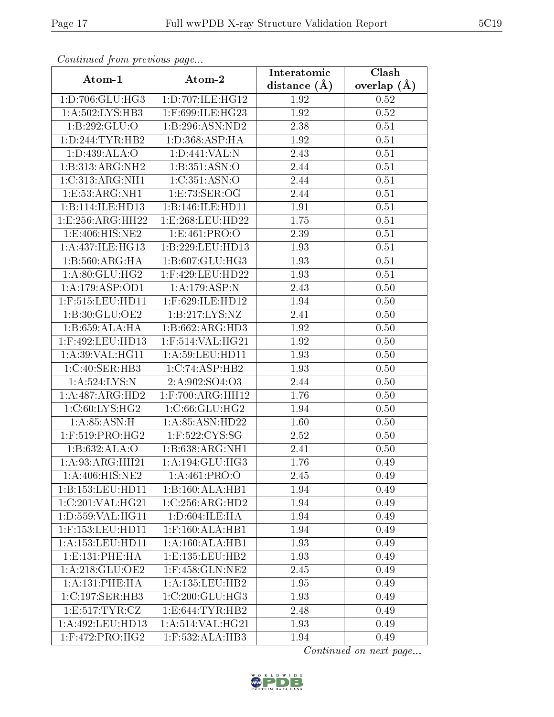| Communa from previous page       |                            | Interatomic       | Clash           |
|----------------------------------|----------------------------|-------------------|-----------------|
| Atom-1                           | Atom-2                     | distance $(A)$    | overlap $(\AA)$ |
| 1:D:706:GLU:HG3                  | 1:D:707:ILE:HG12           | 1.92              | 0.52            |
| 1:A:502:LYS:HB3                  | 1:F:699:ILE:HG23           | 1.92              | 0.52            |
| 1:B:292:GLU:O                    | 1:B:296:ASN:ND2            | 2.38              | 0.51            |
| 1:D:244:TYR:HB2                  | 1: D: 368: ASP: HA         | $\overline{1}.92$ | 0.51            |
| 1: D: 439: ALA:O                 | 1: D:441: VAL: N           | 2.43              | 0.51            |
| 1:B:313:ARG:NH2                  | 1:B:351:ASN:O              | $2.44\,$          | 0.51            |
| 1:C:313:ARG:NH1                  | 1:C:351:ASN:O              | 2.44              | 0.51            |
| 1:E:53:ARG:NH1                   | 1:E:73:SER:OG              | 2.44              | 0.51            |
| 1:B:114:ILE:HD13                 | 1:B:146:ILE:HD11           | 1.91              | 0.51            |
| 1:E:256:ARG:HH22                 | 1:E:268:LEU:HD22           | 1.75              | 0.51            |
| 1:E:406:HIS:NE2                  | 1:E:461:PRO:O              | 2.39              | 0.51            |
| 1: A:437: ILE: HG13              | 1:B:229:LEU:HD13           | 1.93              | 0.51            |
| 1:B:560:ARG:HA                   | 1:B:607:GLU:HG3            | 1.93              | 0.51            |
| 1:A:80:GLU:HG2                   | 1:F:429:LEU:HD22           | 1.93              | 0.51            |
| 1:A:179:ASP:OD1                  | 1:A:179:ASP:N              | 2.43              | 0.50            |
| $1:$ F:515:LEU:HD11              | $1:$ F:629:ILE:HD12        | 1.94              | 0.50            |
| 1:B:30:GLU:OE2                   | 1:B:217:LYS:NZ             | 2.41              | 0.50            |
| 1:B:659:ALA:HA                   | 1:B:662:ARG:HD3            | 1.92              | 0.50            |
| 1:F:492:LEU:HD13                 | 1:F:514:VAL:HG21           | 1.92              | 0.50            |
| 1: A:39: VAL: HG11               | 1: A:59: LEU: HD11         | 1.93              | 0.50            |
| 1:C:40:SER:HB3                   | 1:C:74:ASP:HB2             | 1.93              | 0.50            |
| 1:A:524:LYS:N                    | 2:A:902:SO4:O3             | 2.44              | 0.50            |
| 1:A:487:ARG:HD2                  | $1:$ F:700: $ARG:$ HH $12$ | 1.76              | 0.50            |
| 1: C:60: LYS: HG2                | 1:C:66:GLU:HG2             | 1.94              | 0.50            |
| 1: A:85: ASN:H                   | 1:A:85:ASN:HD22            | 1.60              | 0.50            |
| $1:$ F:519:PRO: $\overline{HG2}$ | $1:$ F:522:CYS:SG          | 2.52              | 0.50            |
| 1:B:632:ALA:O                    | 1: B: 638: ARG: NH1        | 2.41              | 0.50            |
| 1:A:93:ARG:HH21                  | 1:A:194:GLU:HG3            | 1.76              | 0.49            |
| $1: A:406:HI\overline{S:NE2}$    | 1:A:461:PRO:O              | 2.45              | 0.49            |
| 1:B:153:LEU:HD11                 | 1:B:160:ALA:HB1            | 1.94              | 0.49            |
| 1:C:201:VAL:HG21                 | 1:C:256:ARG:HD2            | 1.94              | 0.49            |
| 1:D:559:VAL:HG11                 | 1: D:604: ILE: HA          | 1.94              | 0.49            |
| $1:$ F:153:LEU:HD11              | $1:$ F:160:ALA:HB1         | 1.94              | 0.49            |
| 1: A: 153: LEU: HD11             | 1:A:160:ALA:HB1            | 1.93              | 0.49            |
| 1: E: 131: PHE: HA               | 1:E:135:LEU:HB2            | 1.93              | 0.49            |
| 1:A:218:GLU:OE2                  | 1:F:458:GLN:NE2            | 2.45              | 0.49            |
| 1: A:131:PHE:HA                  | 1: A: 135: LEU: HB2        | 1.95              | 0.49            |
| 1:C:197:SER:HB3                  | 1:C:200:GLU:HG3            | 1.93              | 0.49            |
| 1: E: 517: TYR: CZ               | 1: E: 644: TYR: HB2        | 2.48              | 0.49            |
| 1:A:492:LEU:HD13                 | 1:A:514:VAL:HG21           | 1.93              | 0.49            |
| $1:$ F:472:PRO:HG2               | 1:F:532:ALA:HB3            | 1.94              | 0.49            |

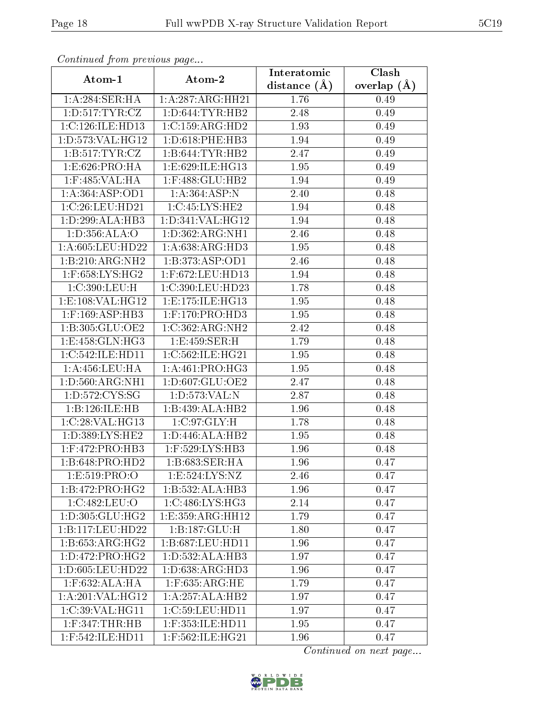| Comunaca jiom previous page          |                                           | Interatomic    | Clash           |
|--------------------------------------|-------------------------------------------|----------------|-----------------|
| Atom-1                               | Atom-2                                    | distance $(A)$ | overlap $(\AA)$ |
| 1:A:284:SER:HA                       | 1:A:287:ARG:HH21                          | 1.76           | 0.49            |
| 1: D: 517: TYR: CZ                   | 1: D:644: TYR:HB2                         | 2.48           | 0.49            |
| 1:C:126:ILE:HD13                     | 1:C:159:ARG:HD2                           | 1.93           | 0.49            |
| 1: D: 573: VAL: HG12                 | 1: D:618: PHE:HB3                         | 1.94           | 0.49            |
| 1: B: 517: TYR: CZ                   | 1:B:644:TYR:HB2                           | 2.47           | 0.49            |
| 1:E:626:PRO:HA                       | 1:E:629:ILE:HG13                          | 1.95           | 0.49            |
| $1:$ F:485:VAL:HA                    | 1:F:488:GLU:HB2                           | 1.94           | 0.49            |
| 1: A: 364: ASP: OD1                  | 1:A:364:ASP:N                             | 2.40           | 0.48            |
| 1:C:26:LEU:HD21                      | 1:C:45:LYS:HE2                            | 1.94           | 0.48            |
| 1: D:299: ALA:HB3                    | 1:D:341:VAL:HG12                          | 1.94           | 0.48            |
| 1:D:356:ALA:O                        | 1:D:362:ARG:NH1                           | 2.46           | 0.48            |
| 1:A:605:LEU:HD22                     | 1: A:638:ARG:HD3                          | 1.95           | 0.48            |
| 1:B:210:ARG:NH2                      | 1:B:373:ASP:OD1                           | 2.46           | 0.48            |
| $1:$ F:658:LYS:HG2                   | 1:F:672:LEU:HD13                          | 1.94           | 0.48            |
| 1:C:390:LEU:H                        | 1:C:390:LEU:HD23                          | 1.78           | 0.48            |
| 1:E:108:VAL:HG12                     | 1: E: 175: ILE: HG13                      | 1.95           | 0.48            |
| $1:$ F:169:ASP:HB3                   | $1:$ F:170:PRO:HD3                        | 1.95           | 0.48            |
| 1: B: 305: GLU: OE2                  | 1:C:362:ARG:NH2                           | 2.42           | 0.48            |
| 1: E: 458: GLN: HG3                  | $1: E: 459 \cdot \overline{\text{SER:H}}$ | 1.79           | 0.48            |
| 1:C:542:ILE:HD11                     | 1:C:562:ILE:HG21                          | 1.95           | 0.48            |
| 1: A: 456: LEU: HA                   | 1: A:461:PRO:HG3                          | 1.95           | 0.48            |
| 1: D: 560: ARG: NH1                  | 1:D:607:GLU:OE2                           | 2.47           | 0.48            |
| 1: D: 572: CYS: SG                   | 1:D:573:VAL:N                             | 2.87           | 0.48            |
| 1:B:126:ILE:HB                       | 1:B:439:ALA:HB2                           | 1.96           | 0.48            |
| 1:C:28:VAL:HG13                      | 1:C:97:GLY:H                              | 1.78           | 0.48            |
| 1:D:389:LYS:HE2                      | 1:D:446:ALA:HB2                           | 1.95           | 0.48            |
| $1:$ F:472:PRO:HB3                   | 1:F:529:LYS:HB3                           | 1.96           | 0.48            |
| 1:B:648:PRO:HD2                      | 1:B:683:SER:HA                            | 1.96           | 0.47            |
| 1:E:519:PRO:O                        | 1:E:524:LYS:NZ                            | 2.46           | 0.47            |
| 1:B:472:PRO:HG2                      | 1:B:532:ALA:HB3                           | 1.96           | 0.47            |
| 1:C:482:LEU:O                        | 1:C:486:LYS:HG3                           | 2.14           | 0.47            |
| 1: D: 305: GLU: HG2                  | 1:E:359:ARG:HH12                          | 1.79           | 0.47            |
| 1:B:117:LEU:HD22                     | 1:B:187:GLU:H                             | 1.80           | 0.47            |
| 1:B:653:ARG:HG2                      | 1:B:687:LEU:HD11                          | 1.96           | 0.47            |
| 1: D: 472: PRO:H G2                  | 1:D:532:ALA:HB3                           | 1.97           | 0.47            |
| 1:D:605:LEU:HD22                     | 1: D: 638: ARG: HD3                       | 1.96           | 0.47            |
| $1:$ F:632:ALA:HA                    | $1:$ F:635:ARG:HE                         | 1.79           | 0.47            |
| $1:A:201:\overline{\text{VAL}:HG12}$ | 1:A:257:ALA:HB2                           | 1.97           | 0.47            |
| 1:C:39:VAL:HG11                      | 1:C:59:LEU:HD11                           | 1.97           | 0.47            |
| $1:$ F:347:THR:HB                    | $1:$ F:353:ILE:HD $11$                    | 1.95           | 0.47            |
| 1:F:542:ILE:HD11                     | 1:F:562:ILE:HG21                          | 1.96           | 0.47            |

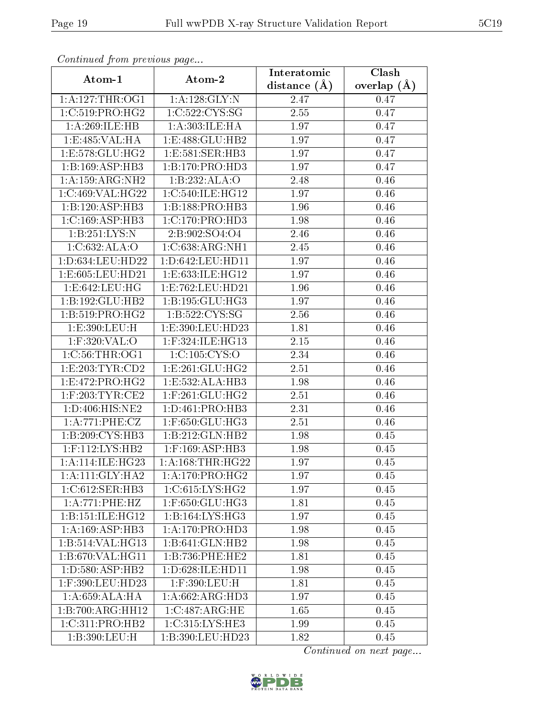| Commuca from previous page    |                              | Interatomic    | Clash         |
|-------------------------------|------------------------------|----------------|---------------|
| Atom-1                        | Atom-2                       | distance $(A)$ | overlap $(A)$ |
| 1: A:127:THR:OG1              | 1:A:128:GLY:N                | 2.47           | 0.47          |
| 1:C:519:PRO:HG2               | 1:C:522:CYS:SG               | 2.55           | 0.47          |
| 1: A:269: ILE: HB             | 1: A:303: ILE: HA            | 1.97           | 0.47          |
| 1:E:485:VAL:HA                | 1:E:488:GLU:HB2              | 1.97           | 0.47          |
| 1:E:578:GLU:HG2               | 1:E:581:SER:HB3              | 1.97           | 0.47          |
| 1:B:169:ASP:HB3               | 1:B:170:PRO:HD3              | 1.97           | 0.47          |
| 1:A:159:ARG:NH2               | 1:B:232:ALA:O                | 2.48           | 0.46          |
| 1:C:469:VAL:HG22              | 1:C:540:ILE:HG12             | 1.97           | 0.46          |
| 1:B:120:ASP:HB3               | 1:B:188:PRO:HB3              | 1.96           | 0.46          |
| 1:C:169:ASP:HB3               | 1:C:170:PRO:HD3              | 1.98           | 0.46          |
| 1:B:251:LYS:N                 | 2:B:902:SO4:O4               | 2.46           | 0.46          |
| 1:C:632:ALA:O                 | 1:C:638:ARG:NH1              | 2.45           | 0.46          |
| 1:D:634:LEU:HD22              | 1:D:642:LEU:HD11             | 1.97           | 0.46          |
| 1: E: 605: LEU: HD21          | 1:E:633:ILE:HG12             | 1.97           | 0.46          |
| 1:E:642:LEU:HG                | 1:E:762:LEU:HD21             | 1.96           | 0.46          |
| 1:B:192:GLU:HB2               | 1:B:195:GLU:HG3              | 1.97           | 0.46          |
| 1:B:519:PRO:HG2               | 1:B:522:CYS:SG               | 2.56           | 0.46          |
| 1:E:390:LEU:H                 | 1:E:390:LEU:HD23             | 1.81           | 0.46          |
| 1:F:320:VAL:O                 | $1:$ F:324:ILE:HG13          | 2.15           | 0.46          |
| 1:C:56:THR:OG1                | 1: C: 105: CYS:O             | 2.34           | 0.46          |
| 1:E:203:TYR:CD2               | 1: E: 261: GLU: HG2          | 2.51           | 0.46          |
| 1: E: 472: PRO:HG2            | 1:E:532:ALA:HB3              | 1.98           | 0.46          |
| $1:$ F:203:TYR:CE2            | $1:$ F:261:GLU:HG2           | 2.51           | 0.46          |
| 1: D: 406: HIS: NE2           | 1: D: 461: PRO: HB3          | 2.31           | 0.46          |
| 1:A:771:PHE:CZ                | 1:F:650:GLU:HG3              | 2.51           | 0.46          |
| 1:B:209:CYS:HB3               | 1:B:212:GLN:HB2              | 1.98           | 0.45          |
| 1:F:112:LYS:HB2               | $1:$ F:169:ASP:HB3           | 1.98           | 0.45          |
| $1:A:114:ILE:H\overline{G23}$ | 1: A:168:THR:HG22            | 1.97           | 0.45          |
| 1:A:111:GLY:HA2               | $1:A:170:PRO:\overline{HG2}$ | 1.97           | 0.45          |
| 1:C:612:SER:HB3               | 1:C:615:LYS:HG2              | 1.97           | 0.45          |
| 1:A:771:PHE:HZ                | 1:F:650:GLU:HG3              | 1.81           | 0.45          |
| 1:B:151:ILE:HG12              | 1:B:164:LYS:HG3              | 1.97           | 0.45          |
| 1:A:169:ASP:HB3               | 1: A:170: PRO:HD3            | 1.98           | 0.45          |
| 1:B:514:VAL:HG13              | 1:B:641:GLN:HB2              | 1.98           | 0.45          |
| 1:B:670:VAL:HG11              | 1:B:736:PHE:HE2              | 1.81           | 0.45          |
| 1: D:580: ASP:HB2             | 1:D:628:ILE:HD11             | 1.98           | 0.45          |
| 1:F:390:LEU:HD23              | 1:F:390:LEU:H                | 1.81           | 0.45          |
| 1: A:659:ALA:HA               | 1: A:662:ARG:HD3             | 1.97           | 0.45          |
| 1:B:700:ARG:HH12              | 1:C:487:ARG:HE               | 1.65           | 0.45          |
| 1:C:311:PRO:HB2               | 1:C:315:LYS:HE3              | 1.99           | 0.45          |
| 1:B:390:LEU:H                 | 1:B:390:LEU:HD23             | 1.82           | 0.45          |

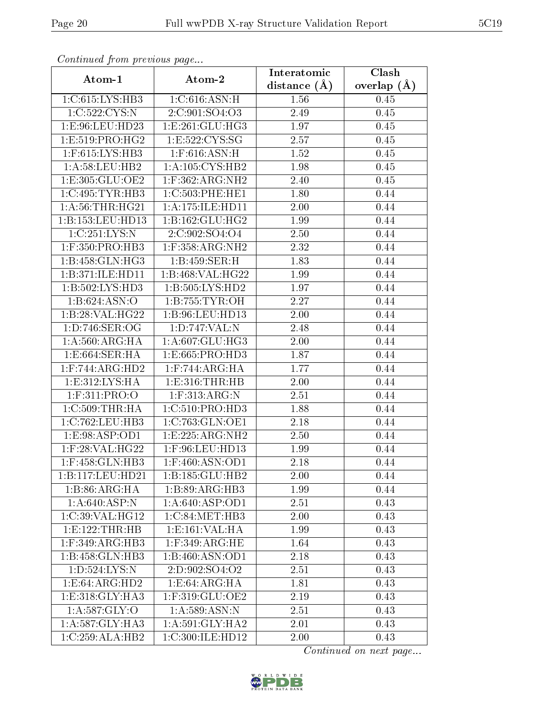| Comunaca jiom previous page               |                                      | Interatomic    | Clash           |
|-------------------------------------------|--------------------------------------|----------------|-----------------|
| Atom-1                                    | Atom-2                               | distance $(A)$ | overlap $(\AA)$ |
| 1:C:615:LYS:HB3                           | 1: C:616: ASN:H                      | 1.56           | 0.45            |
| 1:C:522:CYS:N                             | 2:C:901:SO4:O3                       | 2.49           | 0.45            |
| 1:E:96:LEU:HD23                           | 1:E:261:GLU:HG3                      | 1.97           | 0.45            |
| 1:E:519:PRO:HG2                           | 1:E:522:CYS:SG                       | 2.57           | 0.45            |
| $1:$ F:615:LYS:HB3                        | $1:$ F:616:ASN:H                     | 1.52           | 0.45            |
| 1: A:58:LEU:HB2                           | $1: A:105: CYS:\overline{HB2}$       | 1.98           | 0.45            |
| 1:E:305:GLU:OE2                           | $1:$ F:362:ARG:NH2                   | 2.40           | 0.45            |
| 1:C:495:TYR:HB3                           | 1:C:503:PHE:HE1                      | 1.80           | 0.44            |
| 1: A:56:THR:HG21                          | 1:A:175:ILE:HDI1                     | 2.00           | 0.44            |
| 1:B:153:LEU:HD13                          | 1: B: 162: GLU: HG2                  | 1.99           | 0.44            |
| 1:C:251:LYS:N                             | 2:C:902:SO4:O4                       | 2.50           | 0.44            |
| 1:F:350:PRO:HB3                           | $1:$ F:358:ARG:NH2                   | 2.32           | 0.44            |
| 1:B:458:GLN:HG3                           | 1:B:459:SER:H                        | 1.83           | 0.44            |
| 1:B:371:ILE:HD11                          | 1:B:468:VAL:HG22                     | 1.99           | 0.44            |
| 1:B:502:LYS:HD3                           | $1:B:505:LYS:H\overline{D2}$         | 1.97           | 0.44            |
| 1:B:624:ASN:O                             | 1: B: 755: TYR: OH                   | 2.27           | 0.44            |
| 1:B:28:VAL:H G22                          | 1:B:96:LEU:HD13                      | 2.00           | 0.44            |
| 1:D:746:SER:OG                            | 1:D:747:VAL:N                        | 2.48           | 0.44            |
| $1:A:560:\overline{\text{ARG:H}\text{A}}$ | 1:A:607:GLU:HG3                      | 2.00           | 0.44            |
| 1: E:664: SER: HA                         | 1:E:665:PRO:HD3                      | 1.87           | 0.44            |
| $1:$ F:744:ARG: $\overline{\text{HD2}}$   | $1:$ F:744:ARG:HA                    | 1.77           | 0.44            |
| 1: E:312: LYS: HA                         | 1: E: 316: THR: HB                   | 2.00           | 0.44            |
| $1:$ F:311:PRO:O                          | $1:$ F:313:ARG:N                     | 2.51           | 0.44            |
| 1:C:509:THR:HA                            | 1: C:510: PRO:HD3                    | 1.88           | 0.44            |
| 1:C:762:LEU:HB3                           | 1:C:763:GLN:OE1                      | 2.18           | 0.44            |
| 1: E: 98: ASP: OD1                        | 1:E:225:ARG:NH2                      | 2.50           | 0.44            |
| $1:$ F:28:VAL:HG22                        | 1:F:96:LEU:HD13                      | 1.99           | 0.44            |
| 1:F:458:GLN:HB3                           | $1:$ F:460:ASN:OD1                   | 2.18           | 0.44            |
| 1:B:117:LEU:HD21                          | 1: B: 185: GLU: HB2                  | 2.00           | 0.44            |
| 1:B:86:ARG:HA                             | 1:B:89:ARG:HB3                       | 1.99           | 0.44            |
| 1: A:640: ASP: N                          | 1:A:640:ASP:OD1                      | 2.51           | 0.43            |
| 1:C:39:VAL:HG12                           | $1:C:84:\overline{\mathrm{MET:HB3}}$ | 2.00           | 0.43            |
| 1: E: 122: THR: HB                        | 1: E: 161: VAL: HA                   | 1.99           | 0.43            |
| 1:F:349:ARG:HB3                           | $1:$ F:349:ARG:HE                    | 1.64           | 0.43            |
| 1:B:458:GLN:HB3                           | 1:B:460:ASN:OD1                      | 2.18           | 0.43            |
| 1: D: 524: LYS:N                          | 2:D:902:SO4:O2                       | 2.51           | 0.43            |
| 1:E:64:ARG:HD2                            | 1: E:64: ARG: HA                     | 1.81           | 0.43            |
| 1:E:318:GLY:HA3                           | $1:$ F:319:GLU:OE2                   | 2.19           | 0.43            |
| 1: A:587: GLY:O                           | 1: A:589: ASN:N                      | 2.51           | 0.43            |
| 1: A:587: GLY:HA3                         | 1: A:591: GLY:HA2                    | 2.01           | 0.43            |
| 1:C:259:ALA:HB2                           | 1:C:300:ILE:HD12                     | 2.00           | 0.43            |

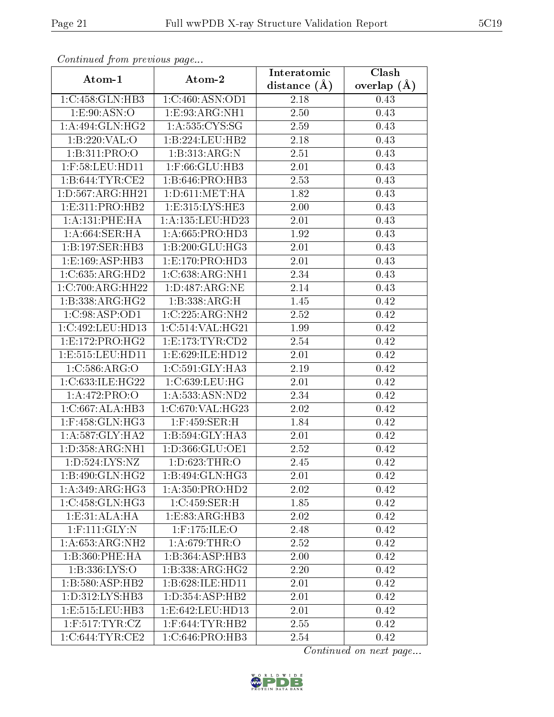| Continuea from previous page |                     | Interatomic       | Clash           |  |
|------------------------------|---------------------|-------------------|-----------------|--|
| Atom-1                       | Atom-2              | distance $(\AA)$  | overlap $(\AA)$ |  |
| 1:C:458:GLN:HB3              | 1:C:460:ASN:OD1     | 2.18              | 0.43            |  |
| 1.E.90:ASN:O                 | 1:E:93:ARG:NH1      | 2.50              | 0.43            |  |
| 1:A:494:GLN:HG2              | 1: A: 535: CYS: SG  | 2.59              | 0.43            |  |
| 1:B:220:VAL:O                | 1:B:224:LEU:HB2     | 2.18              | 0.43            |  |
| 1:B:311:PRO:O                | 1:B:313:ARG:N       | 2.51              | 0.43            |  |
| $1:$ F:58:LEU:HD11           | 1:F:66:GLU:HB3      | 2.01              | 0.43            |  |
| 1:B:644:TYR:CE2              | 1:B:646:PRO:HB3     | $\overline{2.53}$ | 0.43            |  |
| 1: D: 567: ARG: HH21         | 1: D: 611: MET: HA  | 1.82              | 0.43            |  |
| 1: E: 311: PRO: HB2          | 1: E: 315: LYS: HE3 | 2.00              | 0.43            |  |
| 1: A:131:PHE:HA              | 1:A:135:LEU:HD23    | 2.01              | 0.43            |  |
| 1:A:664:SER:HA               | 1: A:665: PRO:HD3   | 1.92              | 0.43            |  |
| 1:B:197:SER:HB3              | 1:B:200:GLU:HG3     | 2.01              | 0.43            |  |
| 1: E: 169: ASP: HB3          | 1: E: 170: PRO: HD3 | 2.01              | 0.43            |  |
| 1:C:635:ARG:HD2              | 1:C:638:ARG:NH1     | 2.34              | 0.43            |  |
| 1:C:700:ARG:HH22             | 1: D:487: ARG: NE   | 2.14              | 0.43            |  |
| $1:B:338:ARG:H\overline{G2}$ | 1:B:338:ARG:H       | 1.45              | 0.42            |  |
| 1:C:98:ASP:OD1               | 1:C:225:ARG:NH2     | 2.52              | 0.42            |  |
| 1:C:492:LEU:HD13             | 1:C:514:VAL:HG21    | 1.99              | 0.42            |  |
| 1:E:172:PRO:HG2              | 1: E: 173: TYR: CD2 | 2.54              | 0.42            |  |
| 1: E: 515: LEU: HD11         | 1:E:629:ILE:HD12    | 2.01              | 0.42            |  |
| 1:C:586:ARG:O                | 1:C:591:GLY:HA3     | 2.19              | 0.42            |  |
| 1:C:633:ILE:HG22             | 1:C:639:LEU:HG      | 2.01              | 0.42            |  |
| 1:A:472:PRO:O                | 1:A:533:ASN:ND2     | 2.34              | 0.42            |  |
| 1:C:667:ALA:HB3              | 1:C:670:VAL:HG23    | 2.02              | 0.42            |  |
| $1:$ F:458:GLN:HG3           | 1:F:459:SER:H       | 1.84              | 0.42            |  |
| 1: A:587: GLY: HA2           | 1:B:594:GLY:HA3     | $2.01\,$          | 0.42            |  |
| 1: D: 358: ARG: NH1          | 1:D:366:GLU:OE1     | 2.52              | 0.42            |  |
| 1:D:524:LYS:NZ               | 1:D:623:THR:O       | 2.45              | 0.42            |  |
| 1:B:490:GLN:HG2              | 1:B:494:GLN:HG3     | 2.01              | 0.42            |  |
| 1:A:349:ARG:HG3              | 1: A: 350: PRO: HD2 | 2.02              | 0.42            |  |
| 1:C:458:GLN:HG3              | 1:C:459:SER:H       | 1.85              | 0.42            |  |
| 1:E:31:ALA:HA                | 1: E: 83: ARG: HB3  | 2.02              | 0.42            |  |
| $1:$ F:111:GLY:N             | $1:$ F:175:ILE:O    | 2.48              | 0.42            |  |
| 1:A:653:ARG:NH2              | 1: A:679:THR:O      | 2.52              | 0.42            |  |
| 1:B:360:PHE:HA               | 1:B:364:ASP:HB3     | 2.00              | 0.42            |  |
| 1:B:336:LYS:O                | 1:B:338:ARG:HG2     | 2.20              | 0.42            |  |
| 1:B:580:ASP:HB2              | 1:B:628:ILE:HD11    | 2.01              | 0.42            |  |
| 1:D:312:LYS:HB3              | 1: D: 354: ASP: HB2 | 2.01              | 0.42            |  |
| 1: E: 515: LEU: HB3          | 1:E:642:LEU:HD13    | 2.01              | 0.42            |  |
| $1:$ F:517:TYR:CZ            | $1:$ F:644:TYR:HB2  | 2.55              | 0.42            |  |
| 1:C:644:TYR:CE2              | 1:C:646:PRO:HB3     | 2.54              | 0.42            |  |

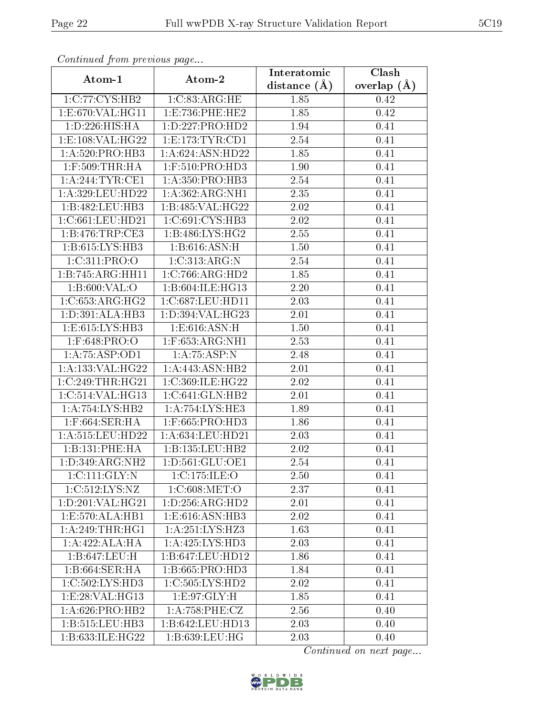| Continuea jioin pievivus page |                     | Interatomic      | Clash         |  |
|-------------------------------|---------------------|------------------|---------------|--|
| Atom-1                        | Atom-2              | distance $(\AA)$ | overlap $(A)$ |  |
| 1:C:77:CYS:HB2                | 1:C:83:ARG:HE       | 1.85             | 0.42          |  |
| 1:E:670:VAL:HG11              | 1:E:736:PHE:HE2     | 1.85             | 0.42          |  |
| 1:D:226:HIS:HA                | 1: D: 227: PRO: HD2 | 1.94             | 0.41          |  |
| 1:E:108:VAL:HG22              | 1: E: 173: TYR: CD1 | 2.54             | 0.41          |  |
| 1:A:520:PRO:HB3               | 1:A:624:ASN:HD22    | 1.85             | 0.41          |  |
| $1:$ F:509:THR:HA             | 1:F:510:PRO:HD3     | 1.90             | 0.41          |  |
| 1: A:244:TYR:CE1              | 1: A: 350: PRO: HB3 | 2.54             | 0.41          |  |
| $1: A: 329:$ LEU:HD22         | 1: A:362: ARG: NH1  | 2.35             | 0.41          |  |
| 1:B:482:LEU:HB3               | 1:B:485:VAL:HG22    | $2.02\,$         | 0.41          |  |
| 1:C:661:LEU:HD21              | 1:C:691:CYS:HB3     | 2.02             | 0.41          |  |
| 1:B:476:TRP:CE3               | 1:B:486:LYS:HG2     | 2.55             | 0.41          |  |
| 1:B:615:LYS:HB3               | 1: B:616:ASN:H      | 1.50             | 0.41          |  |
| 1:C:311:PRO:O                 | 1:C:313:ARG:N       | 2.54             | 0.41          |  |
| 1:B:745:ARG:HH11              | 1:C:766:ARG:HD2     | 1.85             | 0.41          |  |
| 1:B:600:VAL:O                 | 1:B:604:ILE:HG13    | 2.20             | 0.41          |  |
| 1:C:653:ARG:HG2               | 1:C:687:LEU:HD11    | 2.03             | 0.41          |  |
| 1:D:391:ALA:HB3               | 1:D:394:VAL:HG23    | 2.01             | 0.41          |  |
| 1:E:615:LYS:HB3               | 1: E:616: ASN:H     | 1.50             | 0.41          |  |
| 1:F:648:PRO:O                 | $1:$ F:653:ARG:NH1  | 2.53             | 0.41          |  |
| 1:A:75:ASP:OD1                | 1:A:75:ASP:N        | 2.48             | 0.41          |  |
| 1:A:133:VAL:HG22              | 1:A:443:ASN:HB2     | 2.01             | 0.41          |  |
| 1:C:249:THR:HG21              | 1:C:369:ILE:HG22    | 2.02             | 0.41          |  |
| 1:C:514:VAL:HG13              | 1:C:641:GLN:HB2     | 2.01             | 0.41          |  |
| 1: A:754: LYS: HB2            | 1:A:754:LYS:HE3     | 1.89             | 0.41          |  |
| $1:$ F:664:SER:HA             | $1:$ F:665:PRO:HD3  | 1.86             | 0.41          |  |
| 1:A:515:LEU:HD22              | 1:A:634:LEU:HD21    | 2.03             | 0.41          |  |
| 1:B:131:PHE:HA                | 1:B:135:LEU:HB2     | 2.02             | 0.41          |  |
| 1:D:349:ARG:NH2               | 1: D: 561: GLU: OE1 | 2.54             | 0.41          |  |
| 1:C:111:GLY:N                 | 1:C:175:ILE:O       | 2.50             | 0.41          |  |
| 1:C:512:LYS:NZ                | 1:C:608:MET:O       | 2.37             | 0.41          |  |
| 1: D:201: VAL:HG21            | 1: D: 256: ARG: HD2 | 2.01             | 0.41          |  |
| 1:E:570:ALA:HB1               | 1:E:616:ASN:HB3     | 2.02             | 0.41          |  |
| 1: A:249:THR:HG1              | 1: A:251:LYS:HZ3    | 1.63             | 0.41          |  |
| 1:A:422:ALA:HA                | 1:A:425:LYS:HD3     | 2.03             | 0.41          |  |
| 1:B:647:LEU:H                 | 1:B:647:LEU:HD12    | 1.86             | 0.41          |  |
| 1:5:664:SER:HA                | 1:B:665:PRO:HD3     | 1.84             | 0.41          |  |
| 1:C:502:LYS:HD3               | 1:C:505:LYS:HD2     | 2.02             | 0.41          |  |
| 1: E:28: VAL:HG13             | 1:E:97:GLY:H        | 1.85             | 0.41          |  |
| $1:A:626:PRO:H\overline{B2}$  | 1:A:758:PHE:CZ      | 2.56             | 0.40          |  |
| 1:B:515:LEU:HB3               | 1:B:642:LEU:HD13    | 2.03             | 0.40          |  |
| 1:B:633:ILE:HG22              | 1: B:639:LEU:HG     | 2.03             | 0.40          |  |

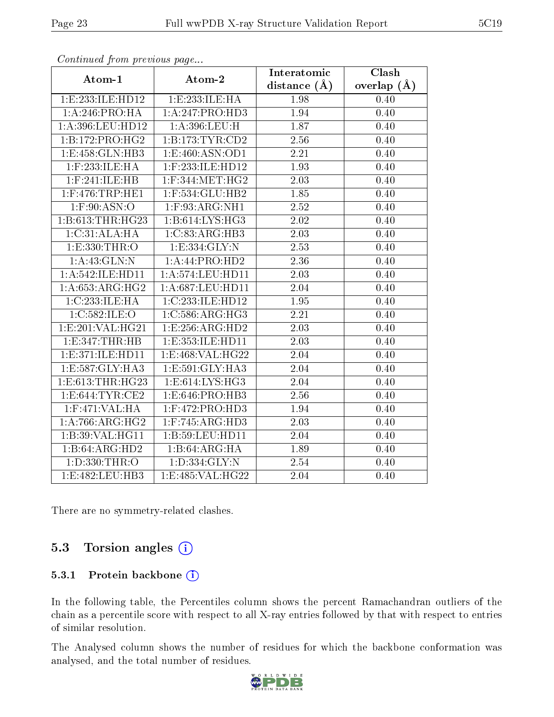| . <i>. .</i>                 | $\cdots$ $\cdots$ $\cdots$ | Interatomic       | Clash         |
|------------------------------|----------------------------|-------------------|---------------|
| Atom-1                       | Atom-2                     | distance $(\AA)$  | overlap $(A)$ |
| 1:E:233:ILE:HD12             | 1:E:233:ILE:HA             | 1.98              | 0.40          |
| 1: A:246:PRO:HA              | 1:A:247:PRO:HD3            | 1.94              | 0.40          |
| 1:A:396:LEU:HD12             | 1:A:396:LEU:H              | 1.87              | 0.40          |
| $1:B:172:PRO:H\overline{G2}$ | 1:B:173:TYR:CD2            | 2.56              | 0.40          |
| 1:E:458:GLN:HB3              | 1:E:460:ASN:OD1            | 2.21              | 0.40          |
| 1:F:233:ILE:HA               | 1:F:233:ILE:HD12           | 1.93              | 0.40          |
| $1:$ F:241:ILE:HB            | $1:$ F:344:MET:HG2         | 2.03              | 0.40          |
| $1:$ F:476:TRP:HE1           | 1:F:534:GLU:HB2            | 1.85              | 0.40          |
| $1:$ F:90:ASN:O              | 1:F:93:ARG:NH1             | $\overline{2.52}$ | 0.40          |
| 1:B:613:THR:HG23             | 1:B:614:LYS:HG3            | 2.02              | 0.40          |
| 1: C: 31: ALA: HA            | 1:C:83:ARG:HB3             | 2.03              | 0.40          |
| 1:E:330:THR:O                | 1:E:334:GLY:N              | 2.53              | 0.40          |
| 1:A:43:GLN:N                 | 1:A:44:PRO:HD2             | 2.36              | 0.40          |
| 1:A:542:ILE:HD11             | 1:A:574:LEU:HD11           | 2.03              | 0.40          |
| 1: A:653:ARG:HG2             | 1:A:687:LEU:HD11           | 2.04              | 0.40          |
| 1:C:233:ILE:HA               | 1:C:233:ILE:HD12           | 1.95              | 0.40          |
| 1:C:582:ILE:O                | 1:C:586:ARG:HG3            | 2.21              | 0.40          |
| 1: E: 201: VAL: HG21         | 1: E: 256: ARG: HD2        | 2.03              | 0.40          |
| 1:E:347:THR:HB               | 1:E:353:ILE:HD11           | 2.03              | 0.40          |
| 1:E:371:ILE:HD11             | 1:E:468:VAL:HG22           | 2.04              | 0.40          |
| 1:E:587:GLY:HA3              | 1:E:591:GLY:HA3            | 2.04              | 0.40          |
| 1:E:613:THR:HG23             | 1: E: 614: LYS: HG3        | 2.04              | 0.40          |
| 1:E:644:TYR:CE2              | 1:E:646:PRO:HB3            | 2.56              | 0.40          |
| $1:$ F:471:VAL:HA            | 1:F:472:PRO:HD3            | 1.94              | 0.40          |
| 1: A:766:ARG:HG2             | 1:F:745:ARG:HD3            | 2.03              | 0.40          |
| 1:B:39:VAL:HG11              | 1:B:59:LEU:HD11            | 2.04              | 0.40          |
| 1:B:64:ARG:HD2               | 1:B:64:ARG:HA              | 1.89              | 0.40          |
| 1:D:330:THR:O                | 1: D: 334: GLY: N          | $\overline{2.54}$ | 0.40          |
| 1:E:482:LEU:HB3              | 1: E:485: VAL:HG22         | 2.04              | 0.40          |

There are no symmetry-related clashes.

#### 5.3 Torsion angles (i)

#### 5.3.1 Protein backbone (i)

In the following table, the Percentiles column shows the percent Ramachandran outliers of the chain as a percentile score with respect to all X-ray entries followed by that with respect to entries of similar resolution.

The Analysed column shows the number of residues for which the backbone conformation was analysed, and the total number of residues.



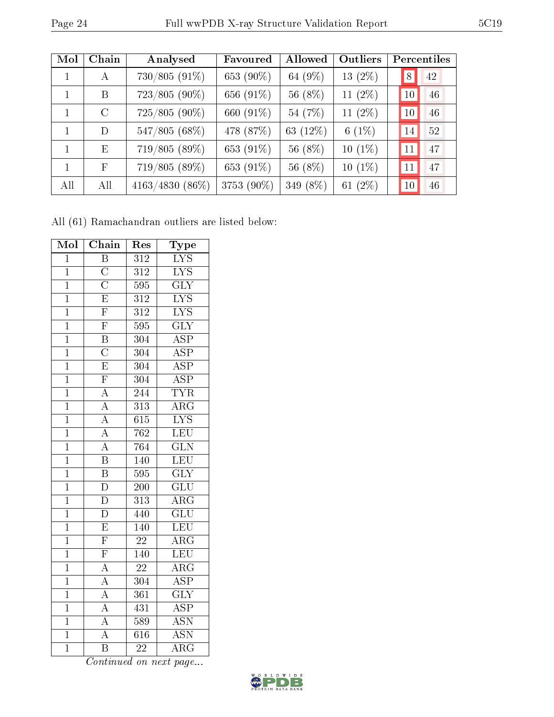| Mol | Chain   | Analysed          | Favoured   | Allowed  | Outliers   |               | Percentiles |
|-----|---------|-------------------|------------|----------|------------|---------------|-------------|
|     | A       | 730/805 (91%)     | 653 (90%)  | 64 (9%)  | $13(2\%)$  | 8             | 42          |
|     | B       | $723/805(90\%)$   | 656 (91%)  | 56 (8%)  | 11 $(2\%)$ | <b>10</b>     | 46          |
|     | $\rm C$ | $725/805(90\%)$   | 660 (91%)  | 54 (7%)  | 11 $(2\%)$ | 10            | 46          |
| 1   | D       | 547/805 (68%)     | 478 (87%)  | 63 (12%) | $6(1\%)$   | 14            | 52          |
|     | E       | 719/805 (89%)     | 653 (91%)  | 56 (8%)  | $10(1\%)$  | <sup>11</sup> | 47          |
|     | F       | 719/805 (89%)     | 653 (91%)  | 56 (8%)  | $10(1\%)$  | 11            | 47          |
| All | All     | $4163/4830(86\%)$ | 3753 (90%) | 349 (8%) | 61 $(2\%)$ | 10            | 46          |

All (61) Ramachandran outliers are listed below:

| Mol            | Chain                                                                                                       | Res              | Type                      |
|----------------|-------------------------------------------------------------------------------------------------------------|------------------|---------------------------|
| $\mathbf{1}$   | $\overline{\mathrm{B}}$                                                                                     | $\overline{312}$ | <b>LYS</b>                |
| $\mathbf{1}$   | $\overline{\rm C}$                                                                                          | 312              | ${\rm LYS}$               |
| $\overline{1}$ | $\overline{\rm C}$                                                                                          | 595              | $\overline{\text{GLY}}$   |
| $\mathbf{1}$   | $\overline{\mathrm{E}}$                                                                                     | $\overline{312}$ | $\overline{\text{LYS}}$   |
| $\mathbf{1}$   | $\overline{\mathrm{F}}$                                                                                     | $\overline{312}$ | $\overline{\text{LYS}}$   |
| $\mathbf{1}$   | $\overline{F}$                                                                                              | 595              | $\overline{\text{GLY}}$   |
| $\mathbf{1}$   | $rac{\overline{B}}{C}$                                                                                      | 304              | $\overline{\rm ASP}$      |
| $\overline{1}$ |                                                                                                             | $\overline{304}$ | $\overline{\text{ASP}}$   |
| $\mathbf{1}$   | $\overline{E}$                                                                                              | 304              | $\overline{\text{ASP}}$   |
| $\overline{1}$ | $\overline{\mathrm{F}}$                                                                                     | 304              | $\overline{\text{ASP}}$   |
| $\overline{1}$ | $\frac{\overline{A}}{\overline{A}}$ $\frac{\overline{A}}{\overline{A}}$                                     | 244              | <b>TYR</b>                |
| $\mathbf{1}$   |                                                                                                             | 313              | $\overline{\rm{ARG}}$     |
| $\overline{1}$ |                                                                                                             | 615              | $\overline{\text{LYS}}$   |
| $\overline{1}$ |                                                                                                             | 762              | LEU                       |
| $\overline{1}$ | $\overline{A}$                                                                                              | 764              | $\overline{\text{GLN}}$   |
| $\mathbf{1}$   | $\overline{\mathbf{B}}$                                                                                     | 140              | <b>LEU</b>                |
| $\mathbf 1$    | $\overline{\mathrm{B}}$                                                                                     | 595              | $\overline{\text{GLY}}$   |
| $\mathbf{1}$   | $\overline{\rm D}$                                                                                          | 200              | $\overline{\text{GLU}}$   |
| $\mathbf{1}$   | $\overline{\rm D}$                                                                                          | 313              | $\rm \overline{ARG}$      |
| $\overline{1}$ | $\overline{\rm D}$                                                                                          | 440              | $\overline{{\rm GLU}}$    |
| $\mathbf{1}$   | $\overline{E}$                                                                                              | $\overline{140}$ | LEU                       |
| $\overline{1}$ | $\overline{\mathrm{F}}$                                                                                     | $\overline{22}$  | $\overline{\rm{ARG}}$     |
| $\overline{1}$ | $\overline{F}$                                                                                              | 140              | LEU                       |
| $\mathbf{1}$   | $\frac{\overline{A}}{\overline{A}}$ $\frac{\overline{A}}{\overline{A}}$ $\frac{\overline{A}}{\overline{A}}$ | $\overline{22}$  | $\overline{\text{ARG}}$   |
| $\overline{1}$ |                                                                                                             | $\overline{304}$ | $\overline{\text{ASP}}$   |
| $\overline{1}$ |                                                                                                             | 361              | $\overline{\text{GLY}}$   |
| $\overline{1}$ |                                                                                                             | 431              | $\overline{\text{ASP}}$   |
| $\mathbf{1}$   |                                                                                                             | 589              | $\overline{\mathrm{ASN}}$ |
| $\mathbf{1}$   |                                                                                                             | $\overline{61}6$ | $\overline{\text{ASN}}$   |
| $\overline{1}$ | $\overline{\mathrm{B}}$                                                                                     | $\overline{22}$  | $\overline{\rm{ARG}}$     |

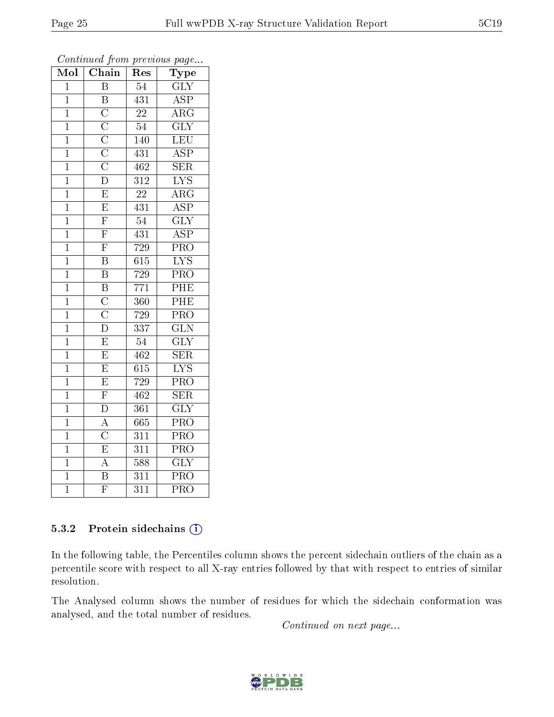| $\overline{\text{Mol}}$ | Chain                                                                   | Res              | Type                      |
|-------------------------|-------------------------------------------------------------------------|------------------|---------------------------|
| $\overline{1}$          | $\overline{\mathrm{B}}$                                                 | $\overline{54}$  | $\overline{\text{GLY}}$   |
| $\mathbf{1}$            | $\overline{\mathrm{B}}$                                                 | 431              | <b>ASP</b>                |
| $\overline{1}$          | $\overline{\rm C}$                                                      | $\overline{22}$  | $\rm A\overline{RG}$      |
| $\mathbf{1}$            |                                                                         | $\overline{54}$  | $\overline{\text{GLY}}$   |
| $\mathbf 1$             |                                                                         | $1\overline{40}$ | $\overline{\text{LEU}}$   |
| $\mathbf 1$             | $\frac{\overline{C}}{\overline{C}}$ $\frac{\overline{C}}{\overline{D}}$ | 431              | $\overline{\text{ASP}}$   |
| $\mathbf{1}$            |                                                                         | 462              | $\overline{\text{SER}}$   |
| $\overline{1}$          |                                                                         | 312              | $\overline{\text{LYS}}$   |
| $\mathbf{1}$            | $\overline{\mathrm{E}}$                                                 | 22               | $\overline{\rm{ARG}}$     |
| $\overline{1}$          | $\overline{E}$                                                          | 431              | $\overline{\text{ASP}}$   |
| $\mathbf{1}$            | $\overline{\mathrm{F}}$                                                 | $\overline{54}$  | $\overline{\text{GLY}}$   |
| $\mathbf{1}$            | $\overline{\mathrm{F}}$                                                 | 431              | $\overline{\text{ASP}}$   |
| $\overline{1}$          | $\overline{F}$                                                          | 729              | $\overline{\text{PRO}}$   |
| $\mathbf{1}$            | $\overline{\mathrm{B}}$                                                 | 615              | $\overline{\text{LYS}}$   |
| $\overline{1}$          | $\overline{\mathrm{B}}$                                                 | 729              | PRO                       |
| $\mathbf{1}$            | $\overline{\mathrm{B}}$                                                 | 771              | $\overline{\rm{PHE}}$     |
| $\mathbf{1}$            | $\overline{C}$                                                          | $\overline{360}$ | PHE                       |
| $\mathbf{1}$            | $\overline{\text{C}}$                                                   | 729              | $\overline{\text{PRO}}$   |
| $\overline{1}$          | $\overline{\rm D}$                                                      | 337              | $\overline{\text{GLN}}$   |
| $\mathbf{1}$            | $\overline{\mathrm{E}}$                                                 | 54               | $\overline{\text{GLY}}$   |
| $\mathbf{1}$            | $\overline{\mathrm{E}}$                                                 | $46\overline{2}$ | $\overline{\text{SER}}$   |
| $\overline{1}$          | $\overline{E}$                                                          | 615              | $\overline{\text{LYS}}$   |
| $\mathbf{1}$            | $\overline{\mathrm{E}}$                                                 | 729              | $\overline{\text{PRO}}$   |
| $\mathbf{1}$            | $\overline{\mathrm{F}}$                                                 | 462              | $\overline{\text{SER}}$   |
| $\overline{1}$          | $\overline{\rm D}$                                                      | 361              | $\overline{\mathrm{GLY}}$ |
| $\mathbf{1}$            | $\overline{A}$                                                          | $\bar{6}65$      | $\overline{\text{PRO}}$   |
| $\mathbf{1}$            | $\overline{\rm C}$                                                      | 311              | $\overline{\text{PRO}}$   |
| $\mathbf 1$             | $\overline{E}$                                                          | 311              | $\overline{\text{PRO}}$   |
| $\mathbf{1}$            | $\overline{A}$                                                          | 588              | $\overline{\text{GLY}}$   |
| $\overline{1}$          | $\overline{\mathrm{B}}$                                                 | 311              | $\overline{\text{PRO}}$   |
| $\overline{1}$          | $\overline{\mathrm{F}}$                                                 | $\overline{311}$ | $\overline{\text{PRO}}$   |

Continued from previous page...

#### 5.3.2 Protein sidechains (i)

In the following table, the Percentiles column shows the percent sidechain outliers of the chain as a percentile score with respect to all X-ray entries followed by that with respect to entries of similar resolution.

The Analysed column shows the number of residues for which the sidechain conformation was analysed, and the total number of residues.

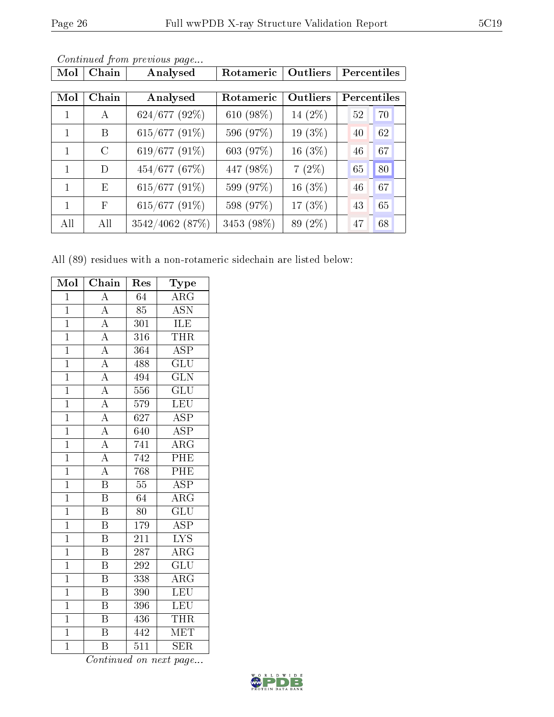| Mol | Chain         | Analysed        | Rotameric  | Outliers   | Percentiles        |    |
|-----|---------------|-----------------|------------|------------|--------------------|----|
| Mol | Chain         | Analysed        | Rotameric  | Outliers   | <b>Percentiles</b> |    |
| 1   | A             | $624/677$ (92%) | 610 (98%)  | 14 (2%)    | 52                 | 70 |
| 1   | B             | 615/677 (91%)   | 596 (97%)  | 19 (3%)    | 40                 | 62 |
| 1   | $\mathcal{C}$ | 619/677 (91%)   | 603 (97%)  | 16 $(3\%)$ | 46                 | 67 |
| 1   | D             | 454/677 (67%)   | 447 (98%)  | $7(2\%)$   | 65                 | 80 |
| 1   | E             | 615/677 (91%)   | 599 (97%)  | 16 (3%)    | 46                 | 67 |
| 1   | F             | 615/677 (91%)   | 598 (97%)  | 17 (3%)    | 43                 | 65 |
| All | All           | 3542/4062 (87%) | 3453 (98%) | 89 (2%)    | 47                 | 68 |

All (89) residues with a non-rotameric sidechain are listed below:

| Mol            | Chain                     | Res              | Type                    |
|----------------|---------------------------|------------------|-------------------------|
| $\overline{1}$ | $\overline{A}$            | $\overline{64}$  | $\overline{\text{ARG}}$ |
| $\mathbf{1}$   | $\boldsymbol{A}$          | 85               | <b>ASN</b>              |
| $\overline{1}$ | $\overline{A}$            | 301              | <b>ILE</b>              |
| $\overline{1}$ | $\overline{A}$            | 316              | THR                     |
| $\overline{1}$ | $\overline{A}$            | $\overline{364}$ | $\overline{\text{ASP}}$ |
| $\overline{1}$ | $\overline{A}$            | 488              | $\overline{{\rm GLU}}$  |
| $\overline{1}$ | $\overline{A}$            | 494              | $\overline{\text{GLN}}$ |
| $\overline{1}$ | $\overline{A}$            | 556              | $\overline{{\rm GLU}}$  |
| $\overline{1}$ | $\overline{A}$            | 579              | <b>LEU</b>              |
| $\overline{1}$ | $\overline{A}$            | 627              | $\overline{\text{ASP}}$ |
| $\overline{1}$ | $\overline{A}$            | 640              | $\overline{\text{ASP}}$ |
| $\overline{1}$ | $\overline{A}$            | 741              | $\overline{\rm{ARG}}$   |
| $\overline{1}$ | $\overline{A}$            | 742              | PHE                     |
| $\mathbf{1}$   | $\overline{\rm A}$        | $\overline{768}$ | PHE                     |
| $\overline{1}$ | $\overline{\mathrm{B}}$   | $\overline{55}$  | $\overline{\text{ASP}}$ |
| $\overline{1}$ | $\overline{\mathrm{B}}$   | 64               | $\overline{\rm ARG}$    |
| $\overline{1}$ | $\overline{\mathrm{B}}$   | $\overline{80}$  | $\overline{\text{GLU}}$ |
| $\overline{1}$ | $\overline{\mathrm{B}}$   | 179              | $\overline{\text{ASP}}$ |
| $\overline{1}$ | $\overline{\mathrm{B}}$   | 211              | $\overline{\rm LYS}$    |
| $\overline{1}$ | $\overline{\mathrm{B}}$   | $\overline{287}$ | $\overline{\rm{ARG}}$   |
| $\overline{1}$ | $\boldsymbol{\mathrm{B}}$ | 292              | $\overline{\text{GLU}}$ |
| $\overline{1}$ | $\overline{\mathrm{B}}$   | 338              | $\overline{\rm{ARG}}$   |
| $\overline{1}$ | $\overline{\mathrm{B}}$   | 390              | LEU                     |
| $\overline{1}$ | Β                         | 396              | <b>LEU</b>              |
| $\overline{1}$ | $\overline{\mathrm{B}}$   | 436              | THR                     |
| $\overline{1}$ | $\overline{B}$            | 442              | <b>MET</b>              |
| $\overline{1}$ | B                         | $\overline{511}$ | $\overline{\text{SER}}$ |

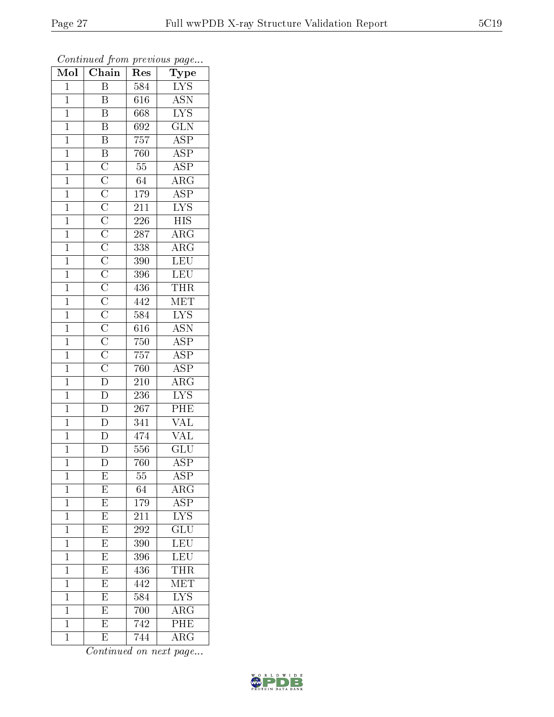| Mol            | Chain                               | Res              | Type                      |
|----------------|-------------------------------------|------------------|---------------------------|
| $\mathbf{1}$   | Β                                   | 584              | LYS                       |
| $\mathbf 1$    | B                                   | 616              | <b>ASN</b>                |
| $\mathbf{1}$   | $\overline{\mathrm{B}}$             | 668              | $\overline{\text{LYS}}$   |
| $\overline{1}$ | $\overline{\mathrm{B}}$             | 692              | $\overline{\text{GLN}}$   |
| $\overline{1}$ | $\overline{B}$                      | 757              | $\overline{\text{ASP}}$   |
| $\mathbf{1}$   |                                     | 760              | $\overline{\text{ASP}}$   |
| $\mathbf{1}$   |                                     | $\overline{55}$  | $\overline{\text{ASP}}$   |
| $\mathbf{1}$   |                                     | 64               | $\overline{\rm{ARG}}$     |
| $\mathbf{1}$   |                                     | 179              | <b>ASP</b>                |
| $\overline{1}$ |                                     | $\overline{211}$ | $\overline{\text{LYS}}$   |
| $\mathbf{1}$   |                                     | 226              | $\overline{\mathrm{HIS}}$ |
| $\mathbf{1}$   |                                     | 287              | $\overline{\rm{ARG}}$     |
| $\mathbf{1}$   |                                     | 338              | $\overline{\rm ARG}$      |
| $\overline{1}$ |                                     | 390              | <b>LEU</b>                |
| $\overline{1}$ |                                     | 396              | LEU                       |
| $\mathbf{1}$   |                                     | 436              | THR                       |
| $\overline{1}$ |                                     | 442              | MET                       |
| $\mathbf{1}$   |                                     | 584              | <b>LYS</b>                |
| $\overline{1}$ |                                     | 616              | $\overline{\mathrm{ASN}}$ |
| $\overline{1}$ |                                     | 750              | $\overline{\text{ASP}}$   |
| $\mathbf{1}$   |                                     | 757              | $\overline{\text{ASP}}$   |
| $\mathbf{1}$   |                                     | 760              | $\overline{\text{ASP}}$   |
| $\overline{1}$ |                                     | 210              | $\overline{\rm{ARG}}$     |
| $\overline{1}$ | $\overline{\rm D}$                  | 236              | $\overline{\mathrm{LYS}}$ |
| $\mathbf{1}$   | $\frac{\overline{D}}{\overline{D}}$ | 267              | $\overline{\rm{PHE}}$     |
| $\mathbf{1}$   |                                     | 341              | $\overline{\text{VAL}}$   |
| $\mathbf{1}$   |                                     | 474              | $\overline{\text{VAL}}$   |
| $\overline{1}$ | $\overline{\rm D}$                  | 556              | GLU                       |
| $\overline{1}$ | $\overline{\text{D}}$               | 760              | $\overline{\text{ASP}}$   |
| 1              | E                                   | 55               | ASP                       |
| $\mathbf{1}$   | E                                   | 64               | $\rm{ARG}$                |
| $\mathbf{1}$   | $\overline{E}$                      | 179              | $\overline{\text{ASP}}$   |
| $\mathbf{1}$   | E                                   | 211              | <b>LYS</b>                |
| $\overline{1}$ | $\overline{\mathrm{E}}$             | $\overline{292}$ | $\overline{\text{GLU}}$   |
| $\mathbf{1}$   | $\overline{\mathrm{E}}$             | 390              | <b>LEU</b>                |
| $\mathbf{1}$   | $\overline{\mathrm{E}}$             | 396              | LEU                       |
| $\mathbf 1$    | $\overline{\mathrm{E}}$             | 436              | THR                       |
| $\overline{1}$ | $\overline{\mathrm{E}}$             | 442              | MET                       |
| $\mathbf 1$    | $\overline{\mathrm{E}}$             | 584              | $\overline{\text{LYS}}$   |
| $\mathbf{1}$   | $\overline{\mathrm{E}}$             | 700              | $\overline{\rm{ARG}}$     |
| $\mathbf{1}$   | $\overline{\mathrm{E}}$             | 742              | PHE                       |
| $\mathbf{1}$   | E                                   | 744              | $\overline{\rm ARG}$      |

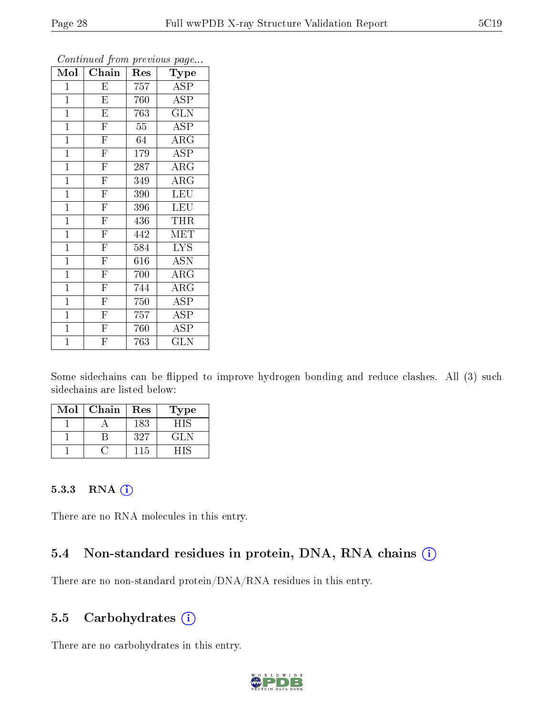| $\overline{\text{Mol}}$ | $Ch\overline{ain}$      | Res | Type                       |
|-------------------------|-------------------------|-----|----------------------------|
| $\mathbf{1}$            | E                       | 757 | <b>ASP</b>                 |
| $\overline{1}$          | $\overline{\mathrm{E}}$ | 760 | <b>ASP</b>                 |
| $\mathbf{1}$            | $\overline{\mathrm{E}}$ | 763 | $\overline{{\rm GLN}}$     |
| $\mathbf{1}$            | $\overline{\mathrm{F}}$ | 55  | ASP                        |
| $\mathbf{1}$            | $\overline{\mathrm{F}}$ | 64  | $\overline{\rm{ARG}}$      |
| $\mathbf{1}$            | $\overline{\mathrm{F}}$ | 179 | <b>ASP</b>                 |
| $\mathbf{1}$            | $\overline{\mathrm{F}}$ | 287 | $\rm{ARG}$                 |
| $\mathbf{1}$            | $\overline{\mathrm{F}}$ | 349 | $\overline{\rm{A}}\rm{RG}$ |
| $\mathbf{1}$            | $\overline{\mathrm{F}}$ | 390 | <b>LEU</b>                 |
| $\mathbf{1}$            | $\overline{\mathrm{F}}$ | 396 | LEU                        |
| $\mathbf{1}$            | $\overline{\mathrm{F}}$ | 436 | THR                        |
| $\overline{1}$          | $\overline{F}$          | 442 | MET                        |
| $\mathbf{1}$            | $\overline{\mathrm{F}}$ | 584 | <b>LYS</b>                 |
| $\mathbf{1}$            | $\overline{\mathrm{F}}$ | 616 | <b>ASN</b>                 |
| $\mathbf{1}$            | $\overline{\mathrm{F}}$ | 700 | $\rm{ARG}$                 |
| $\mathbf{1}$            | $\overline{\mathrm{F}}$ | 744 | $\rm{ARG}$                 |
| $\mathbf{1}$            | $\overline{\mathrm{F}}$ | 750 | ASP                        |
| $\mathbf{1}$            | $\overline{\mathrm{F}}$ | 757 | ASP                        |
| $\mathbf{1}$            | $\overline{\rm F}$      | 760 | ASP                        |
| $\overline{1}$          | $\overline{\mathrm{F}}$ | 763 | $\overline{\text{GLN}}$    |

Some sidechains can be flipped to improve hydrogen bonding and reduce clashes. All (3) such sidechains are listed below:

| Mol | Chain | Res | Type |
|-----|-------|-----|------|
|     |       | 183 | НIS  |
|     |       | 327 | GL N |
|     |       | 115 |      |

#### 5.3.3 RNA (i)

There are no RNA molecules in this entry.

#### 5.4 Non-standard residues in protein, DNA, RNA chains  $(i)$

There are no non-standard protein/DNA/RNA residues in this entry.

#### 5.5 Carbohydrates  $(i)$

There are no carbohydrates in this entry.

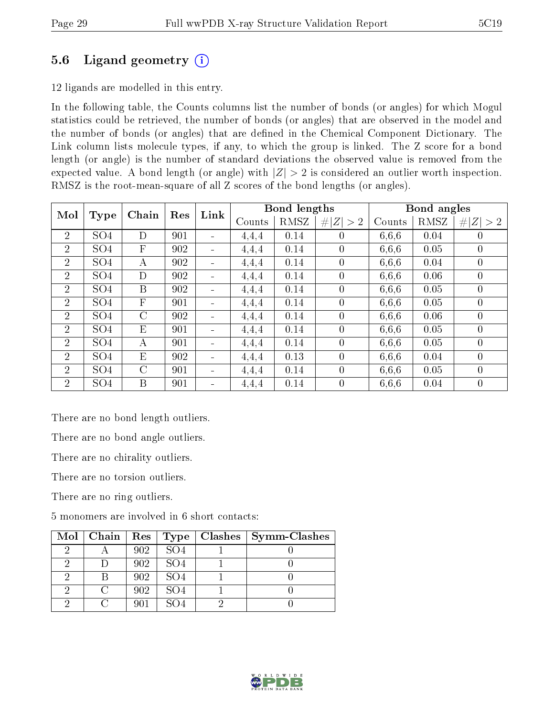### 5.6 Ligand geometry  $(i)$

12 ligands are modelled in this entry.

In the following table, the Counts columns list the number of bonds (or angles) for which Mogul statistics could be retrieved, the number of bonds (or angles) that are observed in the model and the number of bonds (or angles) that are dened in the Chemical Component Dictionary. The Link column lists molecule types, if any, to which the group is linked. The Z score for a bond length (or angle) is the number of standard deviations the observed value is removed from the expected value. A bond length (or angle) with  $|Z| > 2$  is considered an outlier worth inspection. RMSZ is the root-mean-square of all Z scores of the bond lengths (or angles).

| Mol            | <b>Type</b>     | Chain        | Res | Link                         | Bond lengths |      |             | Bond angles |      |                |
|----------------|-----------------|--------------|-----|------------------------------|--------------|------|-------------|-------------|------|----------------|
|                |                 |              |     |                              | Counts       | RMSZ | Z  > 2<br># | Counts      | RMSZ | Z   > 2        |
| $\overline{2}$ | SO <sub>4</sub> | D            | 901 | $\blacksquare$               | 4.4.4        | 0.14 | $\theta$    | 6,6,6       | 0.04 | $\overline{0}$ |
| $\overline{2}$ | SO <sub>4</sub> | $\mathbf F$  | 902 | $\overline{\phantom{a}}$     | 4.4.4        | 0.14 | $\theta$    | 6.6.6       | 0.05 | $\overline{0}$ |
| $\overline{2}$ | SO <sub>4</sub> | A            | 902 | $\blacksquare$               | 4,4,4        | 0.14 | $\theta$    | 6,6,6       | 0.04 | $\theta$       |
| $\overline{2}$ | SO <sub>4</sub> | D            | 902 | $\blacksquare$               | 4.4.4        | 0.14 | $\theta$    | 6,6,6       | 0.06 | $\overline{0}$ |
| $\overline{2}$ | SO <sub>4</sub> | B            | 902 | $\overline{\phantom{a}}$     | 4.4.4        | 0.14 | $\theta$    | 6,6,6       | 0.05 | $\overline{0}$ |
| $\overline{2}$ | SO <sub>4</sub> | $\mathbf{F}$ | 901 | $\blacksquare$               | 4,4,4        | 0.14 | $\theta$    | 6,6,6       | 0.05 | $\theta$       |
| $\overline{2}$ | SO <sub>4</sub> | C            | 902 | $\blacksquare$               | 4.4.4        | 0.14 | $\theta$    | 6,6,6       | 0.06 | $\overline{0}$ |
| $\overline{2}$ | SO <sub>4</sub> | E            | 901 | $\qquad \qquad \blacksquare$ | 4,4,4        | 0.14 | $\theta$    | 6,6,6       | 0.05 | $\overline{0}$ |
| $\overline{2}$ | SO <sub>4</sub> | A            | 901 | $\blacksquare$               | 4,4,4        | 0.14 | $\Omega$    | 6.6.6       | 0.05 | $\theta$       |
| $\overline{2}$ | SO <sub>4</sub> | E            | 902 | $\overline{\phantom{a}}$     | 4,4,4        | 0.13 | $\theta$    | 6,6,6       | 0.04 | $\overline{0}$ |
| $\overline{2}$ | SO <sub>4</sub> | $\rm C$      | 901 | $\blacksquare$               | 4,4,4        | 0.14 | $\theta$    | 6,6,6       | 0.05 | $\overline{0}$ |
| $\overline{2}$ | SO <sub>4</sub> | B            | 901 | $\blacksquare$               | 4.4,4        | 0.14 | $\theta$    | 6.6.6       | 0.04 | $\theta$       |

There are no bond length outliers.

There are no bond angle outliers.

There are no chirality outliers.

There are no torsion outliers.

There are no ring outliers.

5 monomers are involved in 6 short contacts:

|   | $\text{Mol} \mid \text{Chain} \mid \text{Res} \mid \text{Type}$ |     |                 | Clashes $ $ | Symm-Clashes |
|---|-----------------------------------------------------------------|-----|-----------------|-------------|--------------|
| ച |                                                                 | 902 | SO <sub>4</sub> |             |              |
|   |                                                                 | 902 | SO <sub>4</sub> |             |              |
|   |                                                                 | 902 | SO <sub>4</sub> |             |              |
| റ |                                                                 | 902 | SO <sub>4</sub> |             |              |
| റ |                                                                 |     |                 |             |              |

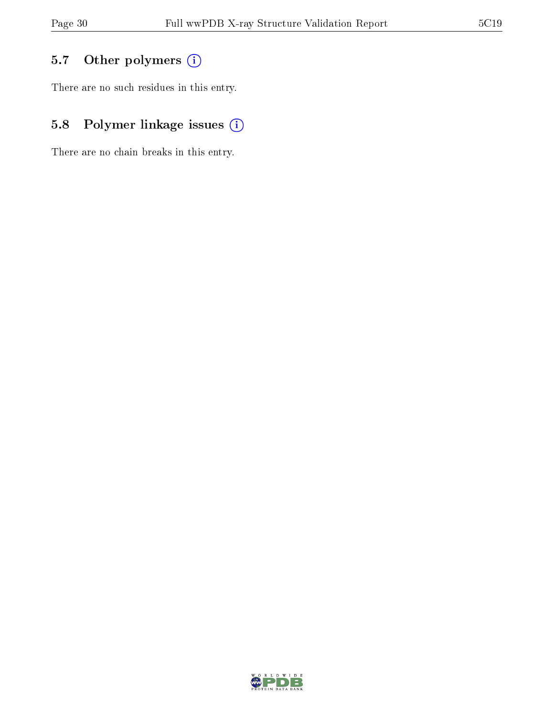## 5.7 [O](https://www.wwpdb.org/validation/2017/XrayValidationReportHelp#nonstandard_residues_and_ligands)ther polymers (i)

There are no such residues in this entry.

## 5.8 Polymer linkage issues (i)

There are no chain breaks in this entry.

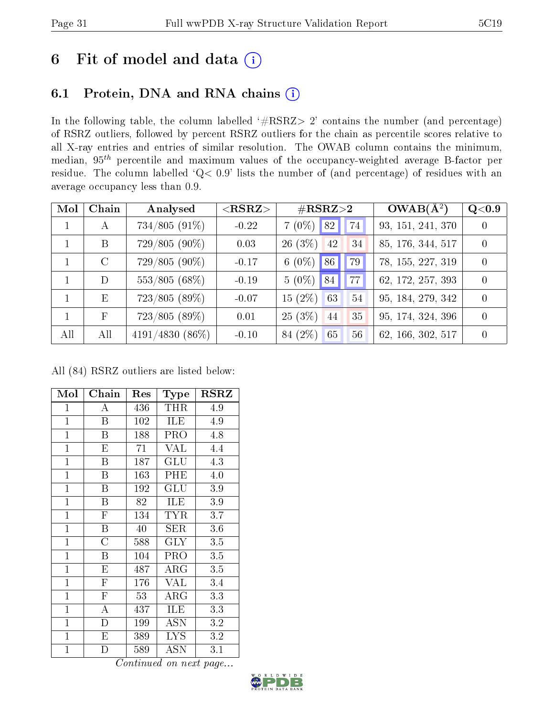## 6 Fit of model and data  $(i)$

## 6.1 Protein, DNA and RNA chains  $(i)$

In the following table, the column labelled  $#RSRZ> 2'$  contains the number (and percentage) of RSRZ outliers, followed by percent RSRZ outliers for the chain as percentile scores relative to all X-ray entries and entries of similar resolution. The OWAB column contains the minimum, median,  $95<sup>th</sup>$  percentile and maximum values of the occupancy-weighted average B-factor per residue. The column labelled ' $Q< 0.9$ ' lists the number of (and percentage) of residues with an average occupancy less than 0.9.

| Mol | Chain      | Analysed        | $<$ RSRZ $>$ | $\#\text{RSRZ}\text{>2}$      | $OWAB(A^2)$       | Q <sub>0.9</sub> |
|-----|------------|-----------------|--------------|-------------------------------|-------------------|------------------|
|     | A          | $734/805(91\%)$ | $-0.22$      | $7(0\%)$ 82<br>74             | 93, 151, 241, 370 | 0                |
|     | B          | $729/805(90\%)$ | 0.03         | 26(3%)<br><sup>42</sup><br>34 | 85, 176, 344, 517 | 0                |
|     | $\rm C$    | 729/805 (90%)   | $-0.17$      | 6 $(0\%)$ 86<br>79            | 78, 155, 227, 319 | $\left( \right)$ |
|     | D          | $553/805(68\%)$ | $-0.19$      | $5(0\%)$ 84<br>77             | 62, 172, 257, 393 | 0                |
|     | E          | 723/805(89%)    | $-0.07$      | $15(2\%)$<br>63<br>54         | 95, 184, 279, 342 | 0                |
|     | $_{\rm F}$ | $723/805(89\%)$ | 0.01         | 25(3%)<br>35<br>44            | 95, 174, 324, 396 | 0                |
| All | All        | 4191/4830 (86%) | $-0.10$      | 84 (2%)<br>65<br>56           | 62, 166, 302, 517 | 0                |

All (84) RSRZ outliers are listed below:

| Mol            | Chain                   | Res | Type                 | <b>RSRZ</b> |
|----------------|-------------------------|-----|----------------------|-------------|
| $\mathbf{1}$   | А                       | 436 | <b>THR</b>           | 4.9         |
| $\mathbf{1}$   | B                       | 102 | <b>ILE</b>           | 4.9         |
| $\mathbf{1}$   | Β                       | 188 | PRO                  | 4.8         |
| $\mathbf{1}$   | E                       | 71  | <b>VAL</b>           | 4.4         |
| $\mathbf{1}$   | Β                       | 187 | $\operatorname{GLU}$ | 4.3         |
| $\overline{1}$ | Β                       | 163 | PHE                  | 4.0         |
| $\mathbf{1}$   | $\overline{\mathrm{B}}$ | 192 | GLU                  | 3.9         |
| $\mathbf{1}$   | B                       | 82  | ILE                  | 3.9         |
| $\mathbf{1}$   | $\mathbf{F}$            | 134 | <b>TYR</b>           | 3.7         |
| $\mathbf{1}$   | Β                       | 40  | SER                  | 3.6         |
| $\mathbf{1}$   | $\overline{\rm C}$      | 588 | $\rm GLY$            | 3.5         |
| $\mathbf{1}$   | B                       | 104 | <b>PRO</b>           | 3.5         |
| $\mathbf{1}$   | ${\rm E}$               | 487 | $\rm{ARG}$           | 3.5         |
| $\overline{1}$ | $\overline{\mathrm{F}}$ | 176 | <b>VAL</b>           | 3.4         |
| $\mathbf{1}$   | $\overline{\mathrm{F}}$ | 53  | $\rm{ARG}$           | 3.3         |
| $\mathbf{1}$   | A                       | 437 | ILE                  | 3.3         |
| $\mathbf{1}$   | $\overline{\mathrm{D}}$ | 199 | ASN                  | 3.2         |
| $\mathbf{1}$   | Е                       | 389 | <b>LYS</b>           | 3.2         |
| $\mathbf 1$    | D                       | 589 | $\operatorname{ASN}$ | 3.1         |

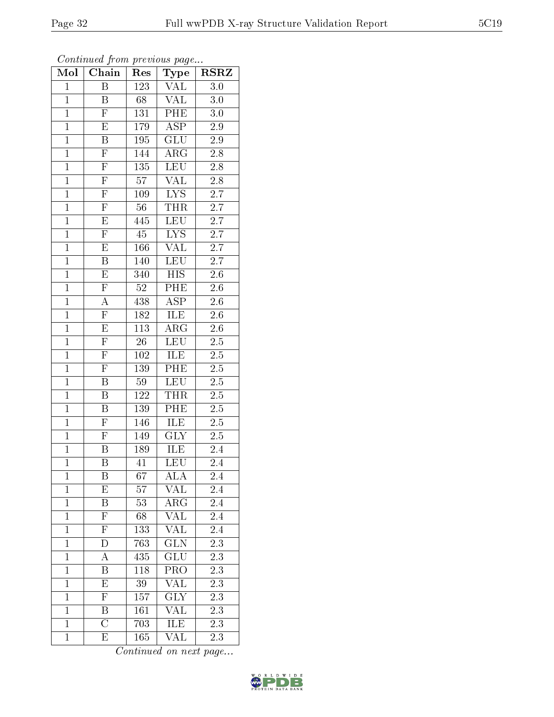| Mol            | ${\bf Chain}$           | Res             | $_{\rm Type}$            | <b>RSRZ</b>      |
|----------------|-------------------------|-----------------|--------------------------|------------------|
| $\overline{1}$ | $\overline{B}$          | 123             | $\overline{\text{VAL}}}$ | $\overline{3.0}$ |
| $\mathbf{1}$   | B                       | 68              | <b>VAL</b>               | $3.0\,$          |
| $\overline{1}$ | $\overline{\mathrm{F}}$ | 131             | PHE                      | $\overline{3.0}$ |
| $\mathbf{1}$   | ${\rm E}$               | 179             | ASP                      | 2.9              |
| $\overline{1}$ | $\overline{\mathrm{B}}$ | 195             | $\overline{\text{GLU}}$  | $\overline{2.9}$ |
| $\mathbf{1}$   | $\overline{F}$          | 144             | $\rm{ARG}$               | $2.8\,$          |
| $\overline{1}$ | $\overline{F}$          | 135             | $\overline{\text{LEU}}$  | 2.8              |
| $\mathbf{1}$   | $\overline{\mathrm{F}}$ | $\overline{57}$ | $\overline{\text{VAL}}$  | $2.8\,$          |
| $\mathbf{1}$   | $\overline{F}$          | 109             | LYS                      | $\overline{2.7}$ |
| $\overline{1}$ | $\overline{\mathrm{F}}$ | $\overline{56}$ | <b>THR</b>               | $\overline{2.7}$ |
| $\mathbf{1}$   | $\mathbf E$             | 445             | LEU                      | 2.7              |
| $\overline{1}$ | $\overline{\mathrm{F}}$ | $\overline{45}$ | $\overline{\text{LYS}}$  | $\overline{2.7}$ |
| $\mathbf{1}$   | E                       | 166             | VAL                      | $\overline{2.7}$ |
| $\mathbf{1}$   | $\overline{\mathbf{B}}$ | 140             | LEU                      | 2.7              |
| $\mathbf{1}$   | $\overline{\mathrm{E}}$ | 340             | $\overline{HIS}$         | $2.6\,$          |
| $\overline{1}$ | $\overline{F}$          | $\overline{52}$ | PHE                      | $2.6\,$          |
| $\overline{1}$ | $\overline{A}$          | 438             | $\overline{\rm ASP}$     | $2.6\,$          |
| $\overline{1}$ | $\overline{F}$          | 182             | ILE                      | 2.6              |
| $\mathbf{1}$   | $\overline{\mathrm{E}}$ | 113             | $\rm{ARG}$               | $2.\overline{6}$ |
| $\overline{1}$ | $\overline{F}$          | $\overline{26}$ | <b>LEU</b>               | 2.5              |
| $\overline{1}$ | $\overline{\mathrm{F}}$ | 102             | ILE                      | $2.\overline{5}$ |
| $\overline{1}$ | $\overline{\mathrm{F}}$ | 139             | PHE                      | $\overline{2.5}$ |
| $\mathbf{1}$   | B                       | 59              | $\overline{\text{LEU}}$  | $2.5\,$          |
| $\overline{1}$ | $\overline{\mathrm{B}}$ | 122             | THR                      | $2.5\,$          |
| $\mathbf{1}$   | Β                       | 139             | PHE                      | $2.5\,$          |
| $\overline{1}$ | $\mathbf{F}$            | 146             | ILE                      | $\overline{2.5}$ |
| $\mathbf{1}$   | $\overline{\mathrm{F}}$ | 149             | $\overline{\text{GLY}}$  | $2.5\,$          |
| $\mathbf{1}$   | $\, {\bf B}$            | 189             | ILE                      | 2.4              |
| $\overline{1}$ | $\overline{\mathrm{B}}$ | 41              | $\overline{\text{LEU}}$  | 2.4              |
| 1              | Β                       | 67              | ALA                      | 2.4              |
| $\mathbf{1}$   | E                       | 57              | VAL                      | 2.4              |
| $\mathbf{1}$   | Β                       | 53              | ARG                      | 2.4              |
| $\mathbf{1}$   | $\overline{\mathrm{F}}$ | 68              | <b>VAL</b>               | 2.4              |
| $\mathbf{1}$   | $\overline{\mathrm{F}}$ | 133             | $\overline{\text{VAL}}$  | 2.4              |
| $\mathbf{1}$   | D                       | 763             | $\overline{\text{GLN}}$  | 2.3              |
| $\mathbf 1$    | $\overline{\rm A}$      | 435             | $\overline{\text{GLU}}$  | $2.\overline{3}$ |
| $\overline{1}$ | $\overline{\mathrm{B}}$ | 118             | PRO                      | 2.3              |
| $\mathbf{1}$   | $\overline{\mathrm{E}}$ | $39\,$          | <b>VAL</b>               | 2.3              |
| $\overline{1}$ | $\overline{\mathrm{F}}$ | 157             | $\overline{\text{GLY}}$  | $\overline{2.3}$ |
| $\mathbf{1}$   | Β                       | 161             | VAL                      | 2.3              |
| $\overline{1}$ | $\overline{\rm C}$      | 703             | <b>ILE</b>               | $\overline{2.3}$ |
| $\mathbf 1$    | E                       | 165             | VAL                      | 2.3              |

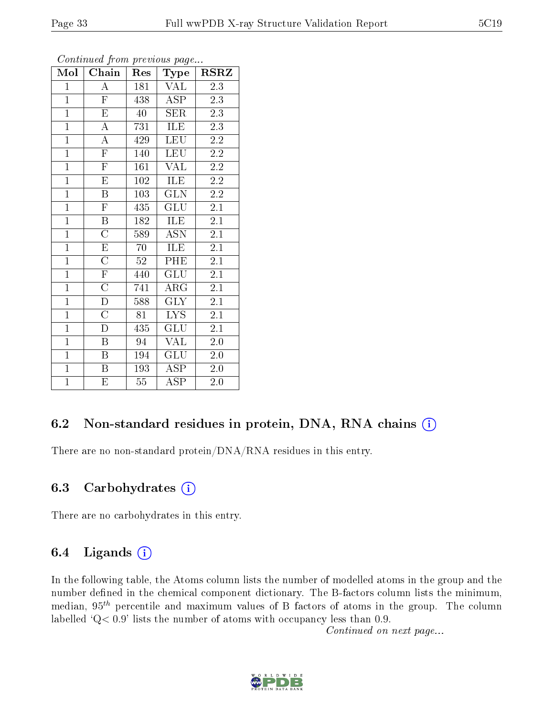| Mol            | Chain                   | $\operatorname{Res}% \left( \mathcal{N}\right) \simeq\operatorname{Res}(\mathcal{N}_{0})^{\ast}$ | $_{\rm Type}$           | $_{\rm RSRZ}$    |
|----------------|-------------------------|--------------------------------------------------------------------------------------------------|-------------------------|------------------|
| $\mathbf{1}$   | $\overline{\rm A}$      | 181                                                                                              | VAL                     | 2.3              |
| $\overline{1}$ | $\overline{F}$          | 438                                                                                              | ASP                     | 2.3              |
| $\overline{1}$ | $\overline{\mathrm{E}}$ | 40                                                                                               | $\overline{\text{SER}}$ | 2.3              |
| $\mathbf{1}$   | $\boldsymbol{A}$        | 731                                                                                              | ILE                     | 2.3              |
| $\overline{1}$ | $\overline{A}$          | 429                                                                                              | LEU                     | $\overline{2.2}$ |
| $\overline{1}$ | $\overline{\mathrm{F}}$ | 140                                                                                              | <b>LEU</b>              | $\overline{2.2}$ |
| $\overline{1}$ | $\overline{\mathrm{F}}$ | 161                                                                                              | <b>VAL</b>              | $2.2\,$          |
| $\overline{1}$ | $\overline{\mathrm{E}}$ | 102                                                                                              | <b>ILE</b>              | $2.2\,$          |
| $\overline{1}$ | $\overline{\mathrm{B}}$ | 103                                                                                              | $\overline{\text{GLN}}$ | $2.2\,$          |
| $\overline{1}$ | $\overline{\mathrm{F}}$ | 435                                                                                              | GLU                     | 2.1              |
| $\overline{1}$ | $\overline{\mathbf{B}}$ | 182                                                                                              | ILE                     | 2.1              |
| $\overline{1}$ | $\overline{\rm C}$      | 589                                                                                              | $\operatorname{ASN}$    | 2.1              |
| $\overline{1}$ | $\overline{E}$          | 70                                                                                               | ILE                     | $\overline{2.1}$ |
| $\overline{1}$ | $\overline{\rm C}$      | 52                                                                                               | PHE                     | 2.1              |
| $\overline{1}$ | $\overline{\mathrm{F}}$ | 440                                                                                              | $\overline{\text{GLU}}$ | $\overline{2.1}$ |
| $\mathbf{1}$   | $\overline{\rm C}$      | 741                                                                                              | $\rm{ARG}$              | 2.1              |
| $\overline{1}$ | $\overline{\rm D}$      | 588                                                                                              | $\overline{\text{GLY}}$ | $2\overline{1}$  |
| $\overline{1}$ | $\overline{C}$          | 81                                                                                               | <b>LYS</b>              | 2.1              |
| $\overline{1}$ | D                       | 435                                                                                              | GLU                     | 2.1              |
| $\overline{1}$ | B                       | 94                                                                                               | <b>VAL</b>              | $2.0\,$          |
| $\mathbf{1}$   | $\, {\bf B}$            | 194                                                                                              | GLU                     | $2.0\,$          |
| $\overline{1}$ | $\overline{\mathrm{B}}$ | 193                                                                                              | $\overline{\rm ASP}$    | $2.0\,$          |
| $\mathbf{1}$   | E                       | $55\,$                                                                                           | ASP                     | $2.0\,$          |

Continued from previous page...

#### 6.2 Non-standard residues in protein, DNA, RNA chains  $(i)$

There are no non-standard protein/DNA/RNA residues in this entry.

#### 6.3 Carbohydrates  $(i)$

There are no carbohydrates in this entry.

#### 6.4 Ligands  $(i)$

In the following table, the Atoms column lists the number of modelled atoms in the group and the number defined in the chemical component dictionary. The B-factors column lists the minimum, median,  $95<sup>th</sup>$  percentile and maximum values of B factors of atoms in the group. The column labelled 'Q< 0.9' lists the number of atoms with occupancy less than 0.9.